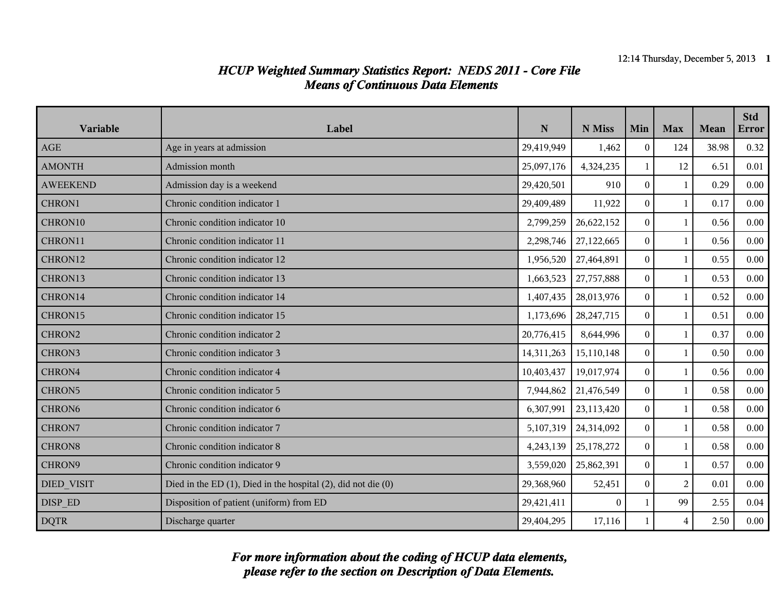| Variable           | Label                                                                 | ${\bf N}$  | N Miss       | Min            | <b>Max</b>     | Mean  | <b>Std</b><br><b>Error</b> |
|--------------------|-----------------------------------------------------------------------|------------|--------------|----------------|----------------|-------|----------------------------|
| AGE                | Age in years at admission                                             | 29,419,949 | 1,462        | $\theta$       | 124            | 38.98 | 0.32                       |
| <b>AMONTH</b>      | Admission month                                                       | 25,097,176 | 4,324,235    | $\mathbf{1}$   | 12             | 6.51  | 0.01                       |
| <b>AWEEKEND</b>    | Admission day is a weekend                                            | 29,420,501 | 910          | $\overline{0}$ | $\mathbf{1}$   | 0.29  | 0.00                       |
| CHRON1             | Chronic condition indicator 1                                         | 29,409,489 | 11,922       | $\overline{0}$ | $\mathbf{1}$   | 0.17  | $0.00\,$                   |
| CHRON10            | Chronic condition indicator 10                                        | 2,799,259  | 26,622,152   | $\overline{0}$ | 1              | 0.56  | 0.00                       |
| CHRON11            | Chronic condition indicator 11                                        | 2,298,746  | 27,122,665   | $\overline{0}$ | 1              | 0.56  | $0.00\,$                   |
| CHRON12            | Chronic condition indicator 12                                        | 1,956,520  | 27,464,891   | $\overline{0}$ | $\mathbf{1}$   | 0.55  | 0.00                       |
| CHRON13            | Chronic condition indicator 13                                        | 1,663,523  | 27,757,888   | $\overline{0}$ | $\mathbf{1}$   | 0.53  | $0.00\,$                   |
| CHRON14            | Chronic condition indicator 14                                        | 1,407,435  | 28,013,976   | $\overline{0}$ | 1              | 0.52  | 0.00                       |
| CHRON15            | Chronic condition indicator 15                                        | 1,173,696  | 28, 247, 715 | $\overline{0}$ | 1              | 0.51  | 0.00                       |
| CHRON2             | Chronic condition indicator 2                                         | 20,776,415 | 8,644,996    | $\overline{0}$ | 1              | 0.37  | $0.00\,$                   |
| CHRON3             | Chronic condition indicator 3                                         | 14,311,263 | 15,110,148   | $\overline{0}$ | $\mathbf{1}$   | 0.50  | 0.00                       |
| CHRON4             | Chronic condition indicator 4                                         | 10,403,437 | 19,017,974   | $\overline{0}$ | $\mathbf{1}$   | 0.56  | 0.00                       |
| CHRON5             | Chronic condition indicator 5                                         | 7,944,862  | 21,476,549   | $\overline{0}$ | $\mathbf{1}$   | 0.58  | 0.00                       |
| CHRON <sub>6</sub> | Chronic condition indicator 6                                         | 6,307,991  | 23,113,420   | $\overline{0}$ | 1              | 0.58  | $0.00\,$                   |
| CHRON7             | Chronic condition indicator 7                                         | 5,107,319  | 24,314,092   | $\overline{0}$ | $\mathbf{1}$   | 0.58  | 0.00                       |
| CHRON8             | Chronic condition indicator 8                                         | 4,243,139  | 25,178,272   | $\overline{0}$ | $\mathbf{1}$   | 0.58  | 0.00                       |
| CHRON9             | Chronic condition indicator 9                                         | 3,559,020  | 25,862,391   | $\Omega$       | $\mathbf{1}$   | 0.57  | 0.00                       |
| <b>DIED VISIT</b>  | Died in the ED $(1)$ , Died in the hospital $(2)$ , did not die $(0)$ | 29,368,960 | 52,451       | $\overline{0}$ | $\overline{2}$ | 0.01  | 0.00                       |
| DISP ED            | Disposition of patient (uniform) from ED                              | 29,421,411 | $\mathbf{0}$ | $\mathbf{1}$   | 99             | 2.55  | 0.04                       |
| <b>DQTR</b>        | Discharge quarter                                                     | 29,404,295 | 17,116       | $\mathbf{1}$   | $\overline{4}$ | 2.50  | 0.00                       |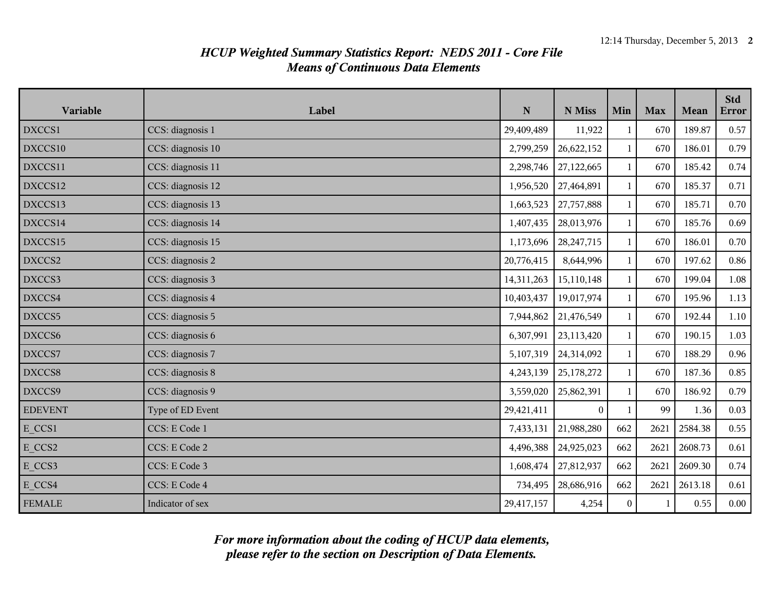| Variable       | Label             | ${\bf N}$  | N Miss       | Min          | <b>Max</b> | Mean    | <b>Std</b><br><b>Error</b> |
|----------------|-------------------|------------|--------------|--------------|------------|---------|----------------------------|
| DXCCS1         | CCS: diagnosis 1  | 29,409,489 | 11,922       | 1            | 670        | 189.87  | 0.57                       |
| DXCCS10        | CCS: diagnosis 10 | 2,799,259  | 26,622,152   | $\mathbf{1}$ | 670        | 186.01  | 0.79                       |
| DXCCS11        | CCS: diagnosis 11 | 2,298,746  | 27,122,665   | $\mathbf{1}$ | 670        | 185.42  | 0.74                       |
| DXCCS12        | CCS: diagnosis 12 | 1,956,520  | 27,464,891   | $\mathbf{1}$ | 670        | 185.37  | 0.71                       |
| DXCCS13        | CCS: diagnosis 13 | 1,663,523  | 27,757,888   | $\mathbf{1}$ | 670        | 185.71  | 0.70                       |
| DXCCS14        | CCS: diagnosis 14 | 1,407,435  | 28,013,976   | $\mathbf{1}$ | 670        | 185.76  | 0.69                       |
| DXCCS15        | CCS: diagnosis 15 | 1,173,696  | 28, 247, 715 | 1            | 670        | 186.01  | 0.70                       |
| DXCCS2         | CCS: diagnosis 2  | 20,776,415 | 8,644,996    | $\mathbf{1}$ | 670        | 197.62  | 0.86                       |
| DXCCS3         | CCS: diagnosis 3  | 14,311,263 | 15,110,148   | $\mathbf{1}$ | 670        | 199.04  | 1.08                       |
| DXCCS4         | CCS: diagnosis 4  | 10,403,437 | 19,017,974   | $\mathbf{1}$ | 670        | 195.96  | 1.13                       |
| DXCCS5         | CCS: diagnosis 5  | 7,944,862  | 21,476,549   | $\mathbf{1}$ | 670        | 192.44  | $1.10\,$                   |
| DXCCS6         | CCS: diagnosis 6  | 6,307,991  | 23,113,420   | $\mathbf{1}$ | 670        | 190.15  | 1.03                       |
| DXCCS7         | CCS: diagnosis 7  | 5,107,319  | 24,314,092   | $\mathbf{1}$ | 670        | 188.29  | 0.96                       |
| DXCCS8         | CCS: diagnosis 8  | 4,243,139  | 25,178,272   | $\mathbf{1}$ | 670        | 187.36  | 0.85                       |
| DXCCS9         | CCS: diagnosis 9  | 3,559,020  | 25,862,391   | $\mathbf{1}$ | 670        | 186.92  | 0.79                       |
| <b>EDEVENT</b> | Type of ED Event  | 29,421,411 | $\Omega$     | $\mathbf{1}$ | 99         | 1.36    | 0.03                       |
| E CCS1         | CCS: E Code 1     | 7,433,131  | 21,988,280   | 662          | 2621       | 2584.38 | 0.55                       |
| E CCS2         | CCS: E Code 2     | 4,496,388  | 24,925,023   | 662          | 2621       | 2608.73 | 0.61                       |
| E CCS3         | CCS: E Code 3     | 1,608,474  | 27,812,937   | 662          | 2621       | 2609.30 | 0.74                       |
| E CCS4         | CCS: E Code 4     | 734,495    | 28,686,916   | 662          | 2621       | 2613.18 | 0.61                       |
| <b>FEMALE</b>  | Indicator of sex  | 29,417,157 | 4,254        | $\mathbf{0}$ | 1          | 0.55    | $0.00\,$                   |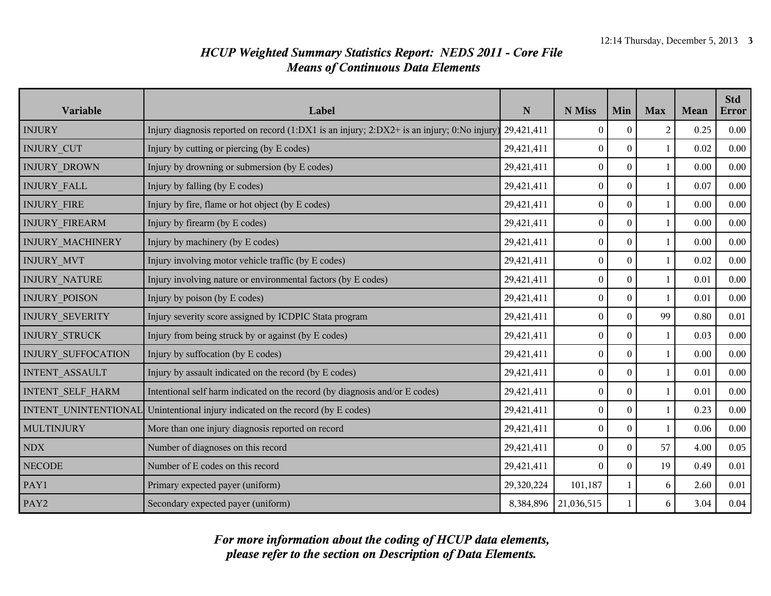| Variable              | Label                                                                                      | ${\bf N}$  | N Miss           | Min              | <b>Max</b>   | Mean | <b>Std</b><br><b>Error</b> |
|-----------------------|--------------------------------------------------------------------------------------------|------------|------------------|------------------|--------------|------|----------------------------|
| <b>INJURY</b>         | Injury diagnosis reported on record (1:DX1 is an injury; 2:DX2+ is an injury; 0:No injury) | 29,421,411 | $\mathbf{0}$     | $\mathbf{0}$     | 2            | 0.25 | 0.00                       |
| <b>INJURY CUT</b>     | Injury by cutting or piercing (by E codes)                                                 | 29,421,411 | $\boldsymbol{0}$ | $\boldsymbol{0}$ | $\mathbf{1}$ | 0.02 | 0.00                       |
| <b>INJURY DROWN</b>   | Injury by drowning or submersion (by E codes)<br>29,421,411                                |            | $\boldsymbol{0}$ | $\overline{0}$   | $\mathbf{1}$ | 0.00 | 0.00                       |
| INJURY_FALL           | Injury by falling (by E codes)<br>29,421,411                                               |            | $\boldsymbol{0}$ | $\mathbf{0}$     | $\mathbf{1}$ | 0.07 | 0.00                       |
| <b>INJURY FIRE</b>    | Injury by fire, flame or hot object (by E codes)                                           | 29,421,411 | $\boldsymbol{0}$ | $\boldsymbol{0}$ | $\mathbf{1}$ | 0.00 | 0.00                       |
| <b>INJURY FIREARM</b> | Injury by firearm (by E codes)                                                             | 29,421,411 | $\boldsymbol{0}$ | $\mathbf{0}$     | $\mathbf{1}$ | 0.00 | 0.00                       |
| INJURY_MACHINERY      | Injury by machinery (by E codes)                                                           | 29,421,411 | $\boldsymbol{0}$ | $\boldsymbol{0}$ | $\mathbf{1}$ | 0.00 | 0.00                       |
| INJURY_MVT            | Injury involving motor vehicle traffic (by E codes)                                        | 29,421,411 | $\boldsymbol{0}$ | $\mathbf{0}$     | $\mathbf{1}$ | 0.02 | 0.00                       |
| <b>INJURY NATURE</b>  | Injury involving nature or environmental factors (by E codes)                              | 29,421,411 | $\boldsymbol{0}$ | $\mathbf{0}$     | $\mathbf{1}$ | 0.01 | 0.00                       |
| INJURY_POISON         | Injury by poison (by E codes)                                                              | 29,421,411 | $\boldsymbol{0}$ | $\boldsymbol{0}$ | $\mathbf{1}$ | 0.01 | 0.00                       |
| INJURY_SEVERITY       | Injury severity score assigned by ICDPIC Stata program                                     | 29,421,411 | $\boldsymbol{0}$ | $\mathbf{0}$     | 99           | 0.80 | $0.01\,$                   |
| <b>INJURY STRUCK</b>  | Injury from being struck by or against (by E codes)                                        | 29,421,411 | $\boldsymbol{0}$ | $\boldsymbol{0}$ | $\mathbf{1}$ | 0.03 | $0.00\,$                   |
| INJURY_SUFFOCATION    | Injury by suffocation (by E codes)                                                         | 29,421,411 | $\boldsymbol{0}$ | $\overline{0}$   | $\mathbf{1}$ | 0.00 | 0.00                       |
| INTENT_ASSAULT        | Injury by assault indicated on the record (by E codes)                                     | 29,421,411 | $\boldsymbol{0}$ | $\overline{0}$   | $\mathbf{1}$ | 0.01 | 0.00                       |
| INTENT_SELF_HARM      | Intentional self harm indicated on the record (by diagnosis and/or E codes)                | 29,421,411 | $\boldsymbol{0}$ | $\boldsymbol{0}$ | $\mathbf{1}$ | 0.01 | 0.00                       |
| INTENT_UNINTENTIONAL  | Unintentional injury indicated on the record (by E codes)                                  | 29,421,411 | $\boldsymbol{0}$ | $\overline{0}$   | $\mathbf{1}$ | 0.23 | 0.00                       |
| <b>MULTINJURY</b>     | More than one injury diagnosis reported on record                                          | 29,421,411 | $\boldsymbol{0}$ | $\overline{0}$   | $\mathbf{1}$ | 0.06 | 0.00                       |
| NDX                   | Number of diagnoses on this record                                                         | 29,421,411 | $\boldsymbol{0}$ | $\mathbf{0}$     | 57           | 4.00 | 0.05                       |
| <b>NECODE</b>         | Number of E codes on this record                                                           | 29,421,411 | $\theta$         | $\mathbf{0}$     | 19           | 0.49 | 0.01                       |
| PAY1                  | Primary expected payer (uniform)                                                           | 29,320,224 | 101,187          | $\mathbf{1}$     | 6            | 2.60 | $0.01\,$                   |
| PAY2                  | Secondary expected payer (uniform)                                                         | 8,384,896  | 21,036,515       | $\mathbf{1}$     | 6            | 3.04 | 0.04                       |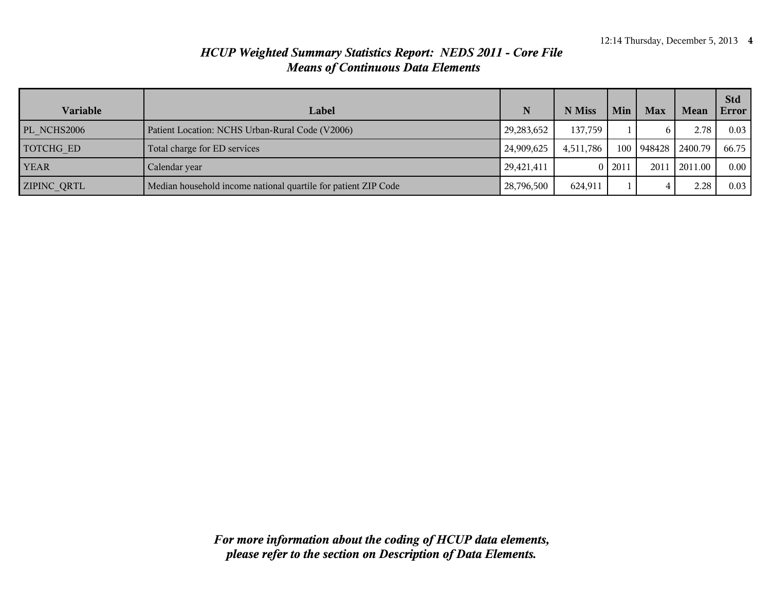| Variable           | Label                                                          |              | N Miss    | Min      | <b>Max</b>             | Mean     | <b>Std</b><br>Error |
|--------------------|----------------------------------------------------------------|--------------|-----------|----------|------------------------|----------|---------------------|
| PL_NCHS2006        | Patient Location: NCHS Urban-Rural Code (V2006)                | 29, 283, 652 | 137,759   |          | 6                      | 2.78     | 0.03                |
| TOTCHG ED          | Total charge for ED services                                   | 24,909,625   | 4,511,786 |          | 100   948428   2400.79 |          | 66.75               |
| <b>YEAR</b>        | Calendar year                                                  | 29,421,411   |           | 0   2011 | 2011                   | 12011.00 | $0.00 -$            |
| <b>ZIPINC QRTL</b> | Median household income national quartile for patient ZIP Code | 28,796,500   | 624,911   |          | 4                      | 2.28     | 0.03                |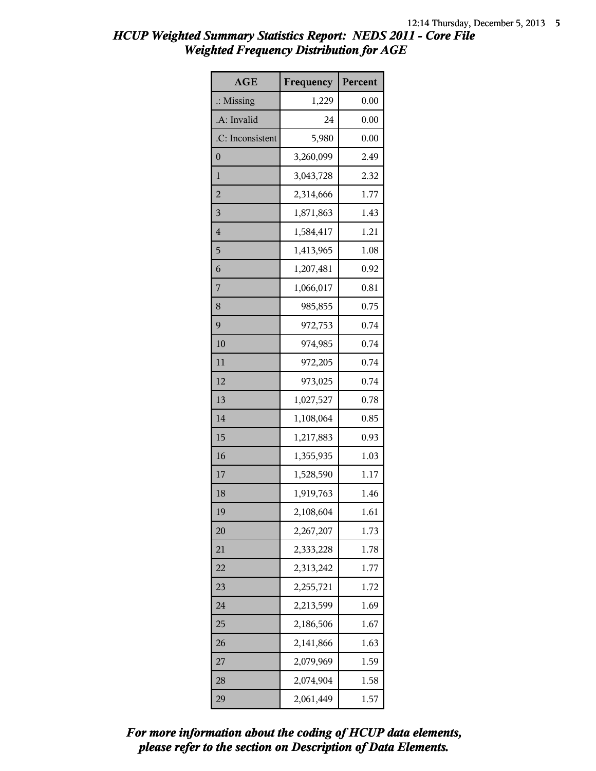| <b>AGE</b>           | Frequency | Percent |
|----------------------|-----------|---------|
| $\therefore$ Missing | 1,229     | 0.00    |
| .A: Invalid          | 24        | 0.00    |
| .C: Inconsistent     | 5,980     | 0.00    |
| 0                    | 3,260,099 | 2.49    |
| 1                    | 3,043,728 | 2.32    |
| $\overline{c}$       | 2,314,666 | 1.77    |
| 3                    | 1,871,863 | 1.43    |
| 4                    | 1,584,417 | 1.21    |
| 5                    | 1,413,965 | 1.08    |
| 6                    | 1,207,481 | 0.92    |
| 7                    | 1,066,017 | 0.81    |
| 8                    | 985,855   | 0.75    |
| 9                    | 972,753   | 0.74    |
| 10                   | 974,985   | 0.74    |
| 11                   | 972,205   | 0.74    |
| 12                   | 973,025   | 0.74    |
| 13                   | 1,027,527 | 0.78    |
| 14                   | 1,108,064 | 0.85    |
| 15                   | 1,217,883 | 0.93    |
| 16                   | 1,355,935 | 1.03    |
| 17                   | 1,528,590 | 1.17    |
| 18                   | 1,919,763 | 1.46    |
| 19                   | 2,108,604 | 1.61    |
| 20                   | 2,267,207 | 1.73    |
| 21                   | 2,333,228 | 1.78    |
| 22                   | 2,313,242 | 1.77    |
| 23                   | 2,255,721 | 1.72    |
| 24                   | 2,213,599 | 1.69    |
| 25                   | 2,186,506 | 1.67    |
| 26                   | 2,141,866 | 1.63    |
| 27                   | 2,079,969 | 1.59    |
| 28                   | 2,074,904 | 1.58    |
| 29                   | 2,061,449 | 1.57    |

*please refer to the section on Description of Data Elements. For more information about the coding of HCUP data elements,*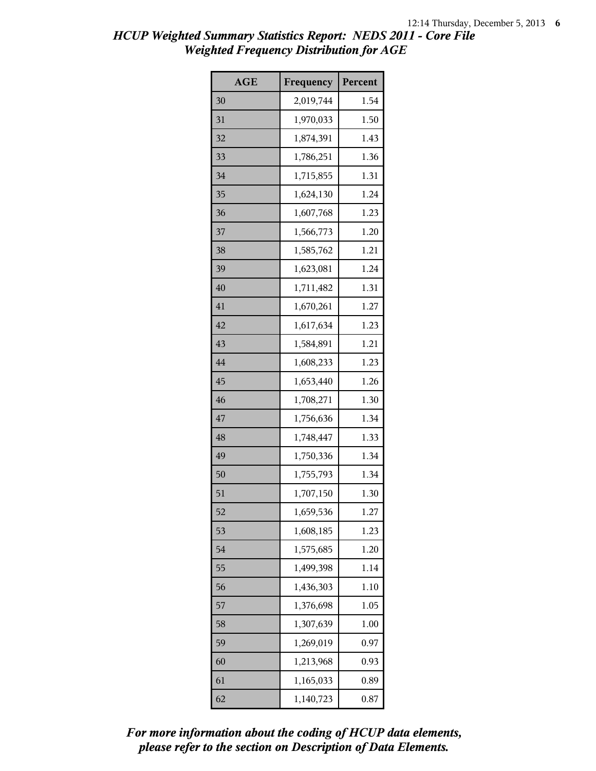| <b>AGE</b> | Frequency | Percent |
|------------|-----------|---------|
| 30         | 2,019,744 | 1.54    |
| 31         | 1,970,033 | 1.50    |
| 32         | 1,874,391 | 1.43    |
| 33         | 1,786,251 | 1.36    |
| 34         | 1,715,855 | 1.31    |
| 35         | 1,624,130 | 1.24    |
| 36         | 1,607,768 | 1.23    |
| 37         | 1,566,773 | 1.20    |
| 38         | 1,585,762 | 1.21    |
| 39         | 1,623,081 | 1.24    |
| 40         | 1,711,482 | 1.31    |
| 41         | 1,670,261 | 1.27    |
| 42         | 1,617,634 | 1.23    |
| 43         | 1,584,891 | 1.21    |
| 44         | 1,608,233 | 1.23    |
| 45         | 1,653,440 | 1.26    |
| 46         | 1,708,271 | 1.30    |
| 47         | 1,756,636 | 1.34    |
| 48         | 1,748,447 | 1.33    |
| 49         | 1,750,336 | 1.34    |
| 50         | 1,755,793 | 1.34    |
| 51         | 1,707,150 | 1.30    |
| 52         | 1,659,536 | 1.27    |
| 53         | 1,608,185 | 1.23    |
| 54         | 1,575,685 | 1.20    |
| 55         | 1,499,398 | 1.14    |
| 56         | 1,436,303 | 1.10    |
| 57         | 1,376,698 | 1.05    |
| 58         | 1,307,639 | 1.00    |
| 59         | 1,269,019 | 0.97    |
| 60         | 1,213,968 | 0.93    |
| 61         | 1,165,033 | 0.89    |
| 62         | 1,140,723 | 0.87    |

*please refer to the section on Description of Data Elements. For more information about the coding of HCUP data elements,*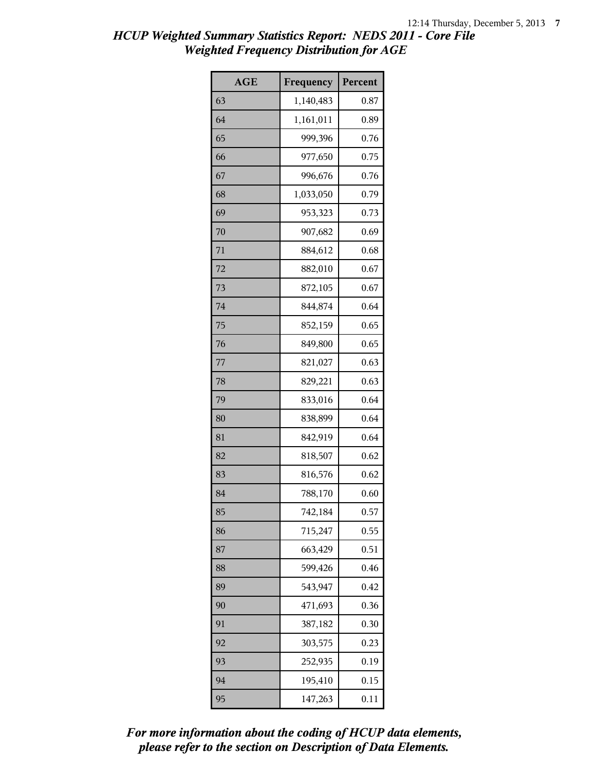| <b>AGE</b> | Frequency | Percent |
|------------|-----------|---------|
| 63         | 1,140,483 | 0.87    |
| 64         | 1,161,011 | 0.89    |
| 65         | 999,396   | 0.76    |
| 66         | 977,650   | 0.75    |
| 67         | 996,676   | 0.76    |
| 68         | 1,033,050 | 0.79    |
| 69         | 953,323   | 0.73    |
| 70         | 907,682   | 0.69    |
| 71         | 884,612   | 0.68    |
| 72         | 882,010   | 0.67    |
| 73         | 872,105   | 0.67    |
| 74         | 844,874   | 0.64    |
| 75         | 852,159   | 0.65    |
| 76         | 849,800   | 0.65    |
| 77         | 821,027   | 0.63    |
| 78         | 829,221   | 0.63    |
| 79         | 833,016   | 0.64    |
| 80         | 838,899   | 0.64    |
| 81         | 842,919   | 0.64    |
| 82         | 818,507   | 0.62    |
| 83         | 816,576   | 0.62    |
| 84         | 788,170   | 0.60    |
| 85         | 742,184   | 0.57    |
| 86         | 715,247   | 0.55    |
| 87         | 663,429   | 0.51    |
| 88         | 599,426   | 0.46    |
| 89         | 543,947   | 0.42    |
| 90         | 471,693   | 0.36    |
| 91         | 387,182   | 0.30    |
| 92         | 303,575   | 0.23    |
| 93         | 252,935   | 0.19    |
| 94         | 195,410   | 0.15    |
| 95         | 147,263   | 0.11    |

*please refer to the section on Description of Data Elements. For more information about the coding of HCUP data elements,*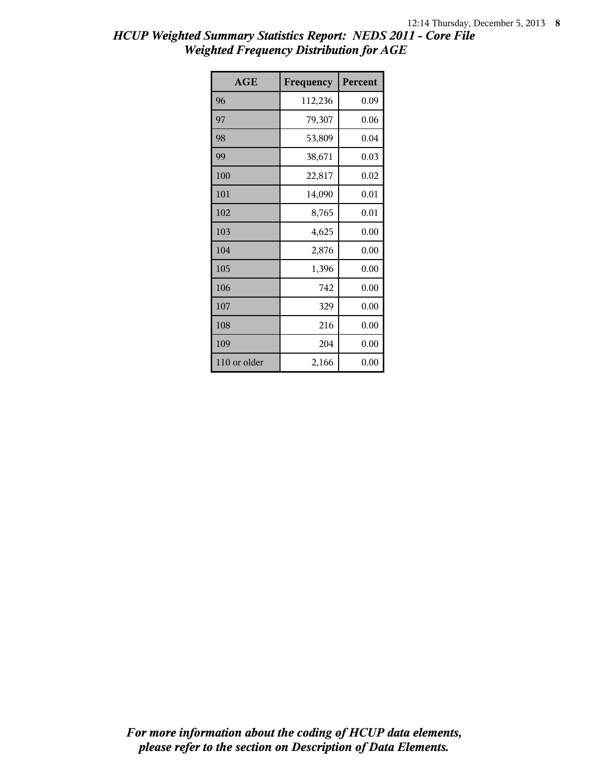| AGE          | Frequency | Percent |
|--------------|-----------|---------|
| 96           | 112,236   | 0.09    |
| 97           | 79,307    | 0.06    |
| 98           | 53,809    | 0.04    |
| 99           | 38,671    | 0.03    |
| 100          | 22,817    | 0.02    |
| 101          | 14,090    | 0.01    |
| 102          | 8,765     | 0.01    |
| 103          | 4,625     | 0.00    |
| 104          | 2,876     | 0.00    |
| 105          | 1,396     | 0.00    |
| 106          | 742       | 0.00    |
| 107          | 329       | 0.00    |
| 108          | 216       | 0.00    |
| 109          | 204       | 0.00    |
| 110 or older | 2,166     | 0.00    |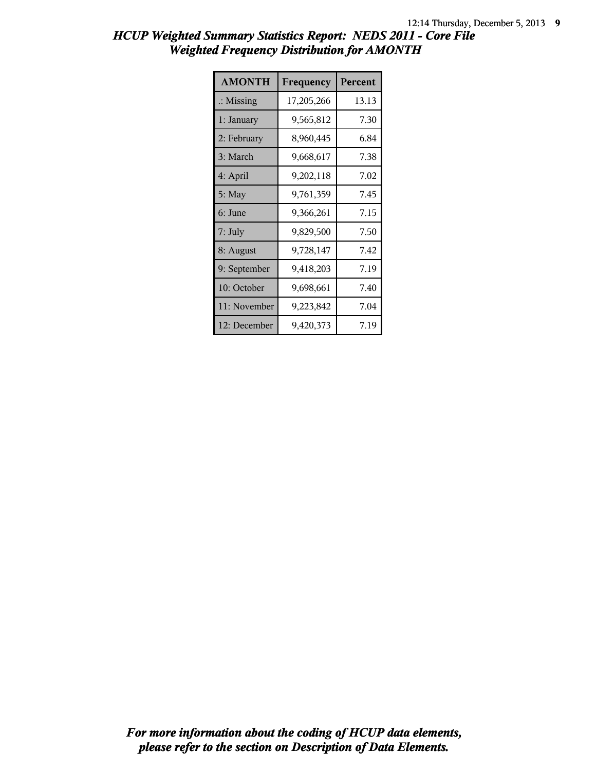| HCUP Weighted Summary Statistics Report: NEDS 2011 - Core File |                                                   |  |  |
|----------------------------------------------------------------|---------------------------------------------------|--|--|
|                                                                | <b>Weighted Frequency Distribution for AMONTH</b> |  |  |

| <b>AMONTH</b>        | Frequency  | Percent |
|----------------------|------------|---------|
| $\therefore$ Missing | 17,205,266 | 13.13   |
| 1: January           | 9,565,812  | 7.30    |
| 2: February          | 8,960,445  | 6.84    |
| 3: March             | 9,668,617  | 7.38    |
| 4: April             | 9,202,118  | 7.02    |
| 5: May               | 9,761,359  | 7.45    |
| 6: June              | 9,366,261  | 7.15    |
| $7:$ July            | 9,829,500  | 7.50    |
| 8: August            | 9,728,147  | 7.42    |
| 9: September         | 9,418,203  | 7.19    |
| 10: October          | 9,698,661  | 7.40    |
| 11: November         | 9,223,842  | 7.04    |
| 12: December         | 9,420,373  | 7.19    |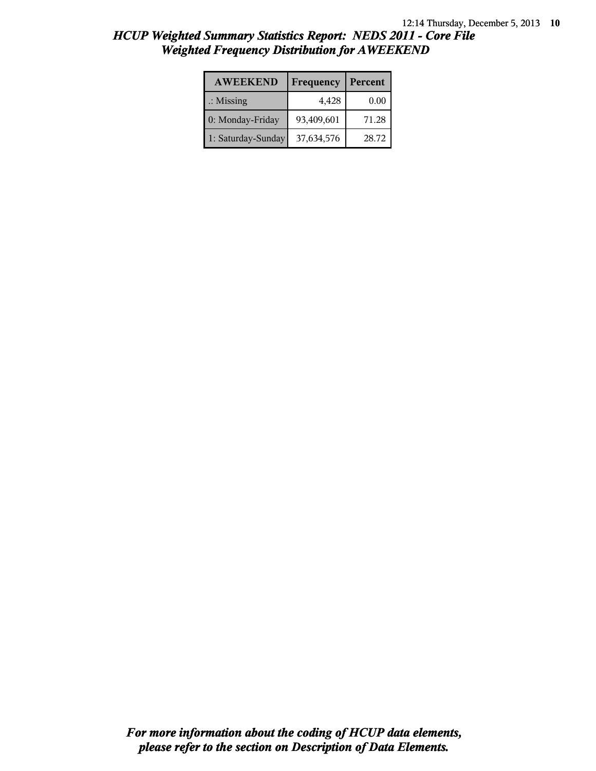| <b>AWEEKEND</b>      | Frequency  | Percent |
|----------------------|------------|---------|
| $\therefore$ Missing | 4,428      | 0.00    |
| 0: Monday-Friday     | 93,409,601 | 71.28   |
| 1: Saturday-Sunday   | 37,634,576 | 28.72   |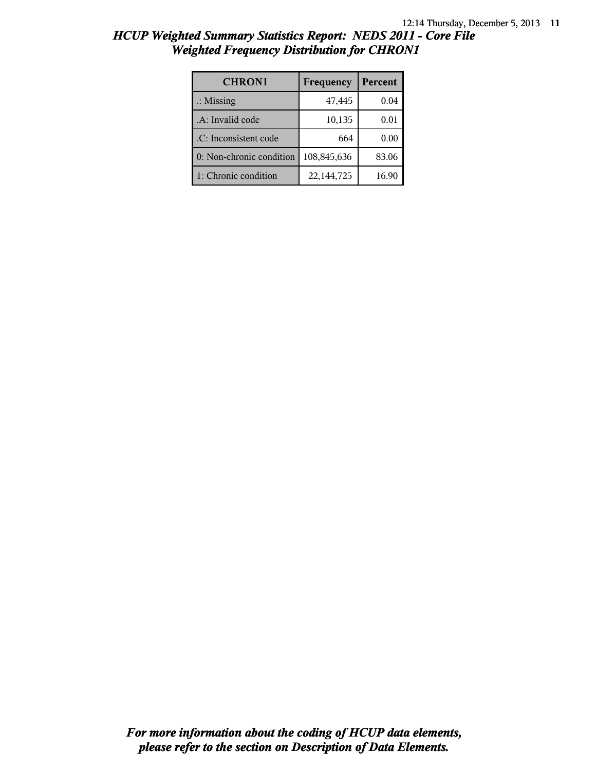| <b>CHRON1</b>            | Frequency   | Percent |
|--------------------------|-------------|---------|
| $\therefore$ Missing     | 47,445      | 0.04    |
| .A: Invalid code         | 10,135      | 0.01    |
| .C: Inconsistent code    | 664         | 0.00    |
| 0: Non-chronic condition | 108,845,636 | 83.06   |
| 1: Chronic condition     | 22,144,725  | 16.90   |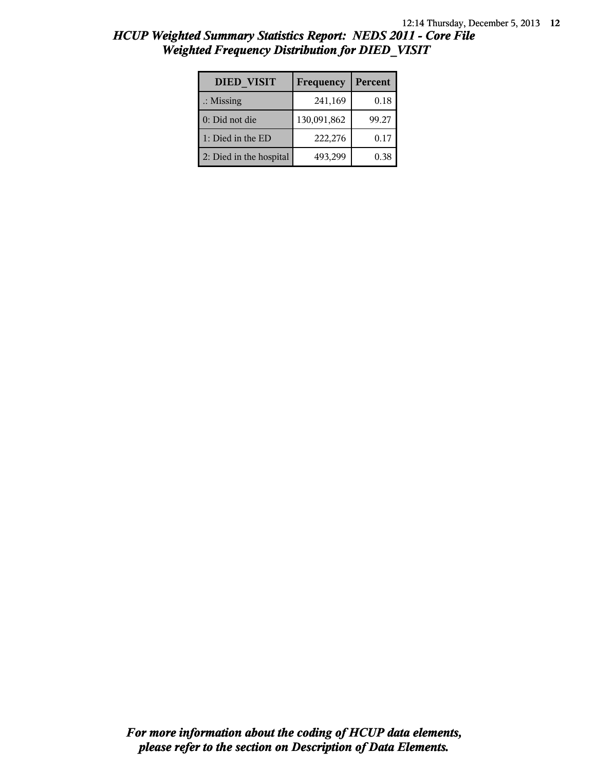| <b>DIED VISIT</b>       | Frequency   | Percent |
|-------------------------|-------------|---------|
| $\therefore$ Missing    | 241,169     | 0.18    |
| $0:$ Did not die        | 130,091,862 | 99.27   |
| 1: Died in the ED       | 222,276     | 0.17    |
| 2: Died in the hospital | 493,299     | 0.38    |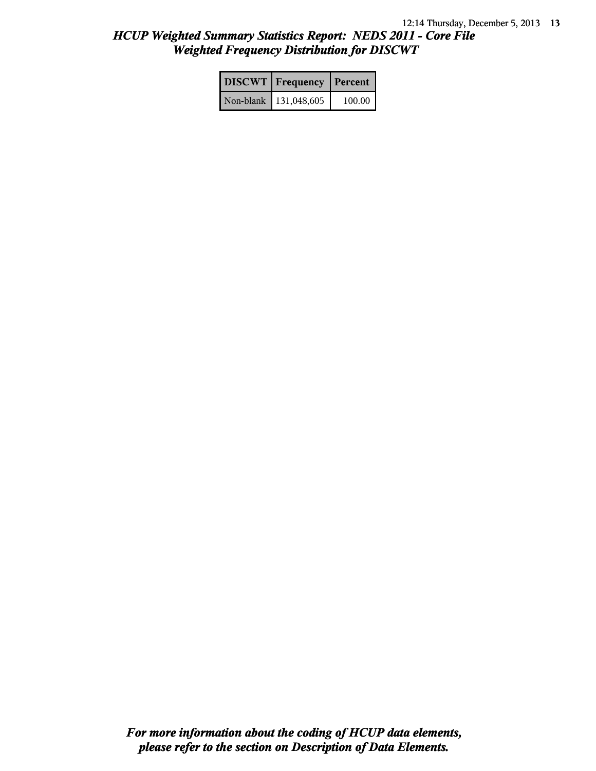| <b>DISCWT</b>   Frequency   Percent |        |
|-------------------------------------|--------|
| Non-blank   131,048,605             | 100.00 |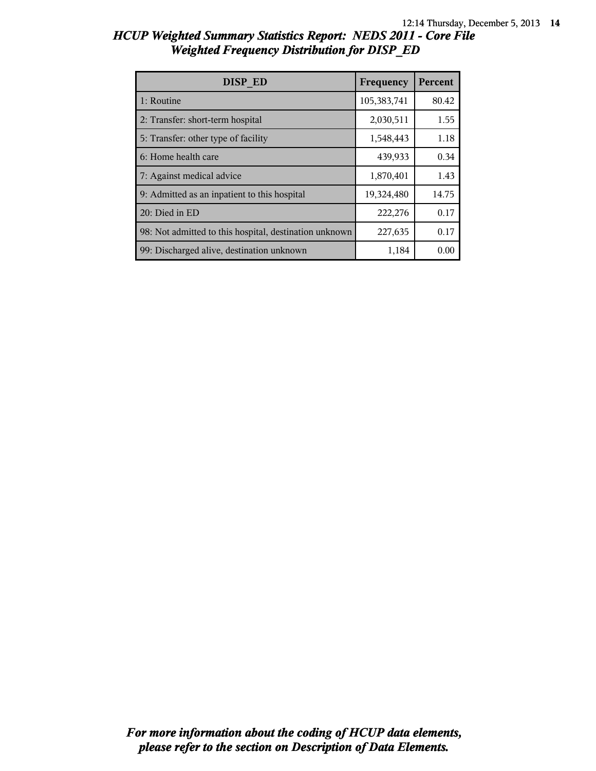| HCUP Weighted Summary Statistics Report: NEDS 2011 - Core File |  |  |
|----------------------------------------------------------------|--|--|
| <b>Weighted Frequency Distribution for DISP_ED</b>             |  |  |

| DISP ED                                                | Frequency   | Percent |
|--------------------------------------------------------|-------------|---------|
| 1: Routine                                             | 105,383,741 | 80.42   |
| 2: Transfer: short-term hospital                       | 2,030,511   | 1.55    |
| 5: Transfer: other type of facility                    | 1,548,443   | 1.18    |
| 6: Home health care                                    | 439,933     | 0.34    |
| 7: Against medical advice                              | 1,870,401   | 1.43    |
| 9: Admitted as an inpatient to this hospital           | 19,324,480  | 14.75   |
| 20: Died in ED                                         | 222,276     | 0.17    |
| 98: Not admitted to this hospital, destination unknown | 227,635     | 0.17    |
| 99: Discharged alive, destination unknown              | 1,184       | 0.00    |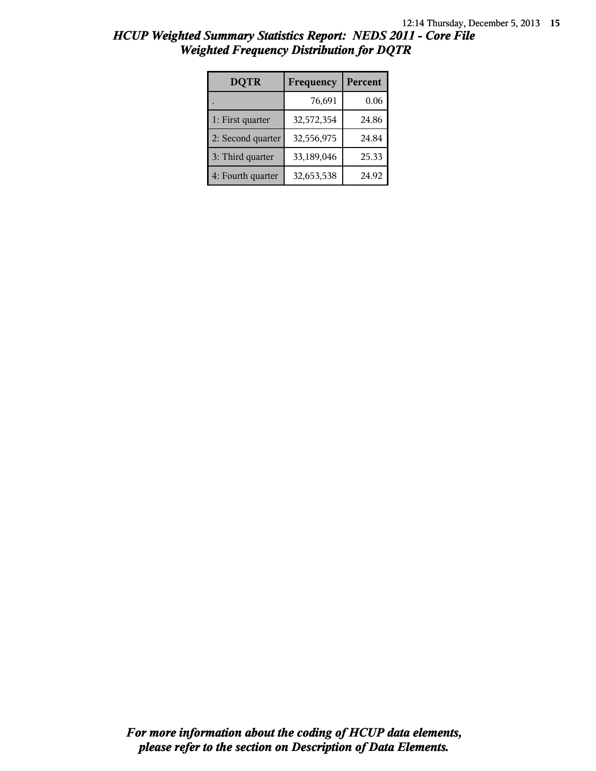| <b>DQTR</b>       | Frequency  | Percent |
|-------------------|------------|---------|
|                   | 76,691     | 0.06    |
| 1: First quarter  | 32,572,354 | 24.86   |
| 2: Second quarter | 32,556,975 | 24.84   |
| 3: Third quarter  | 33,189,046 | 25.33   |
| 4: Fourth quarter | 32,653,538 | 24.92   |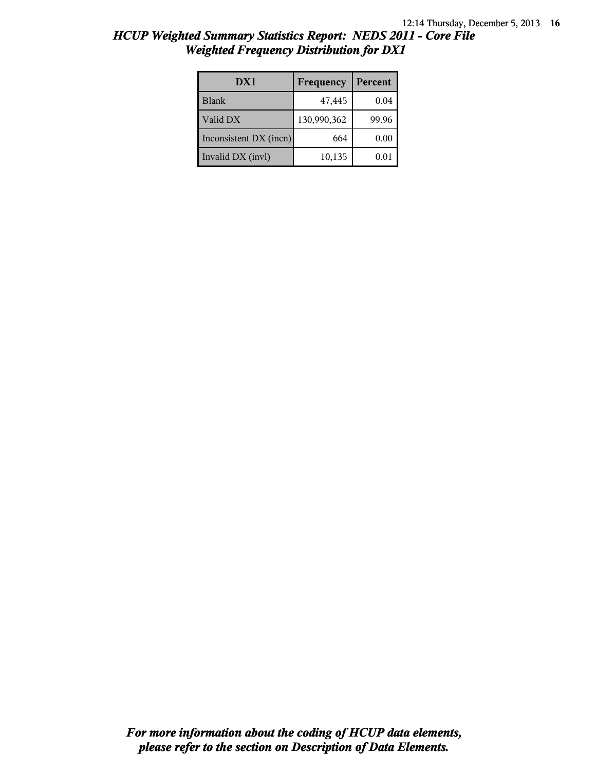| DX1                    | Frequency   | Percent |
|------------------------|-------------|---------|
| <b>Blank</b>           | 47,445      | 0.04    |
| Valid DX               | 130,990,362 | 99.96   |
| Inconsistent DX (incn) | 664         | 0.00    |
| Invalid DX (invl)      | 10,135      | 0.01    |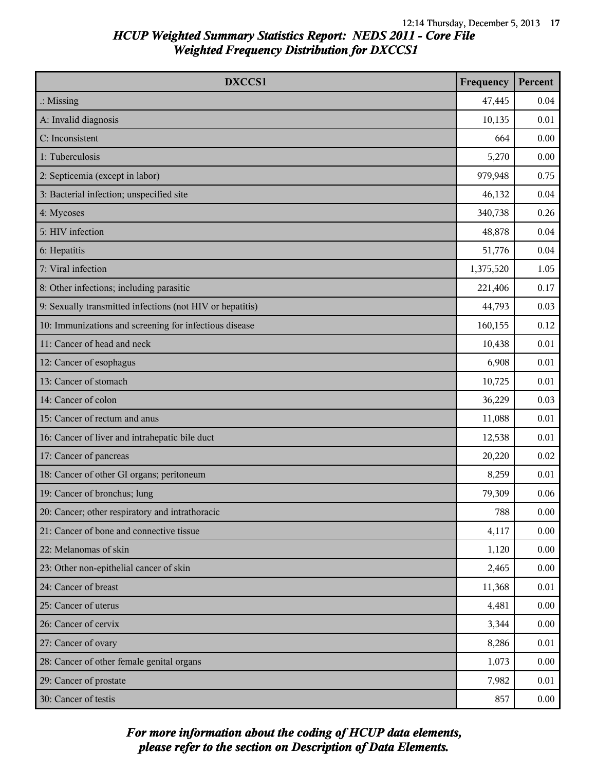| DXCCS1                                                    | Frequency | Percent  |
|-----------------------------------------------------------|-----------|----------|
| $\therefore$ Missing                                      | 47,445    | 0.04     |
| A: Invalid diagnosis                                      | 10,135    | 0.01     |
| C: Inconsistent                                           | 664       | 0.00     |
| 1: Tuberculosis                                           | 5,270     | 0.00     |
| 2: Septicemia (except in labor)                           | 979,948   | 0.75     |
| 3: Bacterial infection; unspecified site                  | 46,132    | 0.04     |
| 4: Mycoses                                                | 340,738   | 0.26     |
| 5: HIV infection                                          | 48,878    | 0.04     |
| 6: Hepatitis                                              | 51,776    | 0.04     |
| 7: Viral infection                                        | 1,375,520 | 1.05     |
| 8: Other infections; including parasitic                  | 221,406   | 0.17     |
| 9: Sexually transmitted infections (not HIV or hepatitis) | 44,793    | 0.03     |
| 10: Immunizations and screening for infectious disease    | 160,155   | 0.12     |
| 11: Cancer of head and neck                               | 10,438    | 0.01     |
| 12: Cancer of esophagus                                   | 6,908     | 0.01     |
| 13: Cancer of stomach                                     | 10,725    | 0.01     |
| 14: Cancer of colon                                       | 36,229    | 0.03     |
| 15: Cancer of rectum and anus                             | 11,088    | 0.01     |
| 16: Cancer of liver and intrahepatic bile duct            | 12,538    | 0.01     |
| 17: Cancer of pancreas                                    | 20,220    | 0.02     |
| 18: Cancer of other GI organs; peritoneum                 | 8,259     | 0.01     |
| 19: Cancer of bronchus; lung                              | 79,309    | 0.06     |
| 20: Cancer; other respiratory and intrathoracic           | 788       | 0.00     |
| 21: Cancer of bone and connective tissue                  | 4,117     | 0.00     |
| 22: Melanomas of skin                                     | 1,120     | 0.00     |
| 23: Other non-epithelial cancer of skin                   | 2,465     | 0.00     |
| 24: Cancer of breast                                      | 11,368    | 0.01     |
| 25: Cancer of uterus                                      | 4,481     | 0.00     |
| 26: Cancer of cervix                                      | 3,344     | 0.00     |
| 27: Cancer of ovary                                       | 8,286     | 0.01     |
| 28: Cancer of other female genital organs                 | 1,073     | 0.00     |
| 29: Cancer of prostate                                    | 7,982     | 0.01     |
| 30: Cancer of testis                                      | 857       | $0.00\,$ |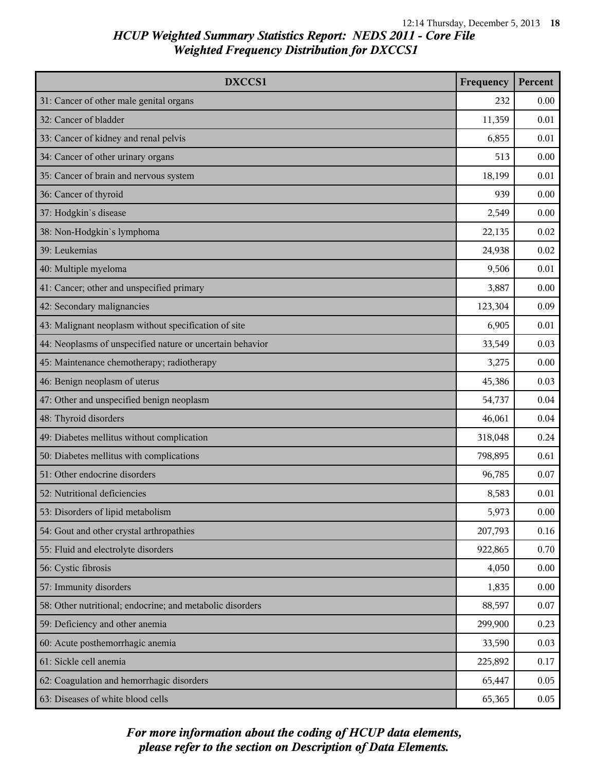| DXCCS1                                                    | Frequency | Percent  |
|-----------------------------------------------------------|-----------|----------|
| 31: Cancer of other male genital organs                   | 232       | 0.00     |
| 32: Cancer of bladder                                     | 11,359    | 0.01     |
| 33: Cancer of kidney and renal pelvis                     | 6,855     | 0.01     |
| 34: Cancer of other urinary organs                        | 513       | 0.00     |
| 35: Cancer of brain and nervous system                    | 18,199    | 0.01     |
| 36: Cancer of thyroid                                     | 939       | 0.00     |
| 37: Hodgkin's disease                                     | 2,549     | 0.00     |
| 38: Non-Hodgkin's lymphoma                                | 22,135    | 0.02     |
| 39: Leukemias                                             | 24,938    | 0.02     |
| 40: Multiple myeloma                                      | 9,506     | 0.01     |
| 41: Cancer; other and unspecified primary                 | 3,887     | 0.00     |
| 42: Secondary malignancies                                | 123,304   | 0.09     |
| 43: Malignant neoplasm without specification of site      | 6,905     | 0.01     |
| 44: Neoplasms of unspecified nature or uncertain behavior | 33,549    | 0.03     |
| 45: Maintenance chemotherapy; radiotherapy                | 3,275     | 0.00     |
| 46: Benign neoplasm of uterus                             | 45,386    | 0.03     |
| 47: Other and unspecified benign neoplasm                 | 54,737    | 0.04     |
| 48: Thyroid disorders                                     | 46,061    | 0.04     |
| 49: Diabetes mellitus without complication                | 318,048   | 0.24     |
| 50: Diabetes mellitus with complications                  | 798,895   | 0.61     |
| 51: Other endocrine disorders                             | 96,785    | 0.07     |
| 52: Nutritional deficiencies                              | 8,583     | 0.01     |
| 53: Disorders of lipid metabolism                         | 5,973     | $0.00\,$ |
| 54: Gout and other crystal arthropathies                  | 207,793   | 0.16     |
| 55: Fluid and electrolyte disorders                       | 922,865   | 0.70     |
| 56: Cystic fibrosis                                       | 4,050     | 0.00     |
| 57: Immunity disorders                                    | 1,835     | 0.00     |
| 58: Other nutritional; endocrine; and metabolic disorders | 88,597    | 0.07     |
| 59: Deficiency and other anemia                           | 299,900   | 0.23     |
| 60: Acute posthemorrhagic anemia                          | 33,590    | 0.03     |
| 61: Sickle cell anemia                                    | 225,892   | 0.17     |
| 62: Coagulation and hemorrhagic disorders                 | 65,447    | 0.05     |
| 63: Diseases of white blood cells                         | 65,365    | 0.05     |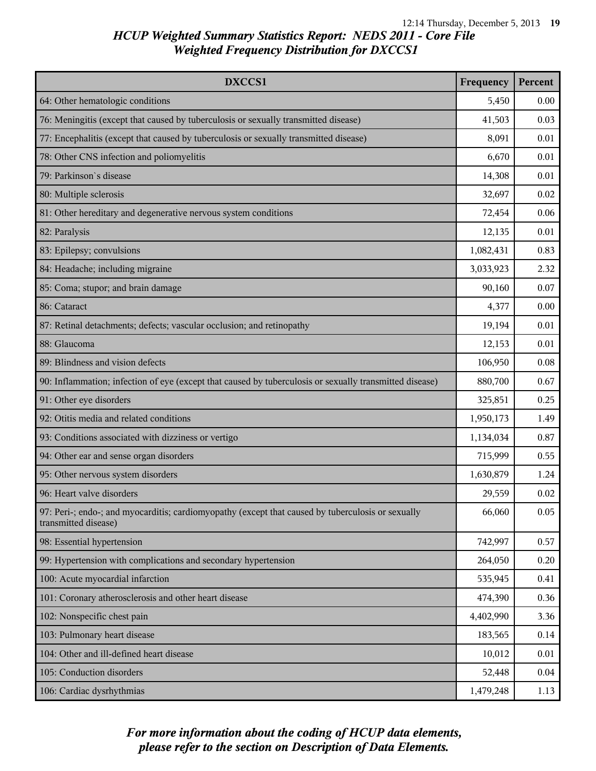| DXCCS1                                                                                                                    | Frequency | Percent |
|---------------------------------------------------------------------------------------------------------------------------|-----------|---------|
| 64: Other hematologic conditions                                                                                          | 5,450     | 0.00    |
| 76: Meningitis (except that caused by tuberculosis or sexually transmitted disease)                                       | 41,503    | 0.03    |
| 77: Encephalitis (except that caused by tuberculosis or sexually transmitted disease)                                     | 8,091     | 0.01    |
| 78: Other CNS infection and poliomyelitis                                                                                 | 6,670     | 0.01    |
| 79: Parkinson's disease                                                                                                   | 14,308    | 0.01    |
| 80: Multiple sclerosis                                                                                                    | 32,697    | 0.02    |
| 81: Other hereditary and degenerative nervous system conditions                                                           | 72,454    | 0.06    |
| 82: Paralysis                                                                                                             | 12,135    | 0.01    |
| 83: Epilepsy; convulsions                                                                                                 | 1,082,431 | 0.83    |
| 84: Headache; including migraine                                                                                          | 3,033,923 | 2.32    |
| 85: Coma; stupor; and brain damage                                                                                        | 90,160    | 0.07    |
| 86: Cataract                                                                                                              | 4,377     | 0.00    |
| 87: Retinal detachments; defects; vascular occlusion; and retinopathy                                                     | 19,194    | 0.01    |
| 88: Glaucoma                                                                                                              | 12,153    | 0.01    |
| 89: Blindness and vision defects                                                                                          | 106,950   | 0.08    |
| 90: Inflammation; infection of eye (except that caused by tuberculosis or sexually transmitted disease)                   | 880,700   | 0.67    |
| 91: Other eye disorders                                                                                                   | 325,851   | 0.25    |
| 92: Otitis media and related conditions                                                                                   | 1,950,173 | 1.49    |
| 93: Conditions associated with dizziness or vertigo                                                                       | 1,134,034 | 0.87    |
| 94: Other ear and sense organ disorders                                                                                   | 715,999   | 0.55    |
| 95: Other nervous system disorders                                                                                        | 1,630,879 | 1.24    |
| 96: Heart valve disorders                                                                                                 | 29,559    | 0.02    |
| 97: Peri-; endo-; and myocarditis; cardiomyopathy (except that caused by tuberculosis or sexually<br>transmitted disease) | 66,060    | 0.05    |
| 98: Essential hypertension                                                                                                | 742,997   | 0.57    |
| 99: Hypertension with complications and secondary hypertension                                                            | 264,050   | 0.20    |
| 100: Acute myocardial infarction                                                                                          | 535,945   | 0.41    |
| 101: Coronary atherosclerosis and other heart disease                                                                     | 474,390   | 0.36    |
| 102: Nonspecific chest pain                                                                                               | 4,402,990 | 3.36    |
| 103: Pulmonary heart disease                                                                                              | 183,565   | 0.14    |
| 104: Other and ill-defined heart disease                                                                                  | 10,012    | 0.01    |
| 105: Conduction disorders                                                                                                 | 52,448    | 0.04    |
| 106: Cardiac dysrhythmias                                                                                                 | 1,479,248 | 1.13    |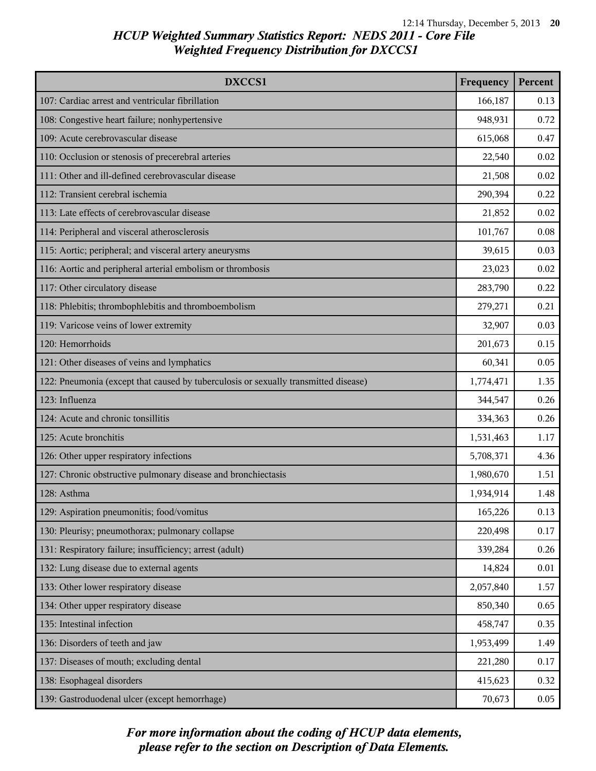| DXCCS1                                                                              | Frequency | Percent |
|-------------------------------------------------------------------------------------|-----------|---------|
| 107: Cardiac arrest and ventricular fibrillation                                    | 166,187   | 0.13    |
| 108: Congestive heart failure; nonhypertensive                                      | 948,931   | 0.72    |
| 109: Acute cerebrovascular disease                                                  | 615,068   | 0.47    |
| 110: Occlusion or stenosis of precerebral arteries                                  | 22,540    | 0.02    |
| 111: Other and ill-defined cerebrovascular disease                                  | 21,508    | 0.02    |
| 112: Transient cerebral ischemia                                                    | 290,394   | 0.22    |
| 113: Late effects of cerebrovascular disease                                        | 21,852    | 0.02    |
| 114: Peripheral and visceral atherosclerosis                                        | 101,767   | 0.08    |
| 115: Aortic; peripheral; and visceral artery aneurysms                              | 39,615    | 0.03    |
| 116: Aortic and peripheral arterial embolism or thrombosis                          | 23,023    | 0.02    |
| 117: Other circulatory disease                                                      | 283,790   | 0.22    |
| 118: Phlebitis; thrombophlebitis and thromboembolism                                | 279,271   | 0.21    |
| 119: Varicose veins of lower extremity                                              | 32,907    | 0.03    |
| 120: Hemorrhoids                                                                    | 201,673   | 0.15    |
| 121: Other diseases of veins and lymphatics                                         | 60,341    | 0.05    |
| 122: Pneumonia (except that caused by tuberculosis or sexually transmitted disease) | 1,774,471 | 1.35    |
| 123: Influenza                                                                      | 344,547   | 0.26    |
| 124: Acute and chronic tonsillitis                                                  | 334,363   | 0.26    |
| 125: Acute bronchitis                                                               | 1,531,463 | 1.17    |
| 126: Other upper respiratory infections                                             | 5,708,371 | 4.36    |
| 127: Chronic obstructive pulmonary disease and bronchiectasis                       | 1,980,670 | 1.51    |
| 128: Asthma                                                                         | 1,934,914 | 1.48    |
| 129: Aspiration pneumonitis; food/vomitus                                           | 165,226   | 0.13    |
| 130: Pleurisy; pneumothorax; pulmonary collapse                                     | 220,498   | 0.17    |
| 131: Respiratory failure; insufficiency; arrest (adult)                             | 339,284   | 0.26    |
| 132: Lung disease due to external agents                                            | 14,824    | 0.01    |
| 133: Other lower respiratory disease                                                | 2,057,840 | 1.57    |
| 134: Other upper respiratory disease                                                | 850,340   | 0.65    |
| 135: Intestinal infection                                                           | 458,747   | 0.35    |
| 136: Disorders of teeth and jaw                                                     | 1,953,499 | 1.49    |
| 137: Diseases of mouth; excluding dental                                            | 221,280   | 0.17    |
| 138: Esophageal disorders                                                           | 415,623   | 0.32    |
| 139: Gastroduodenal ulcer (except hemorrhage)                                       | 70,673    | 0.05    |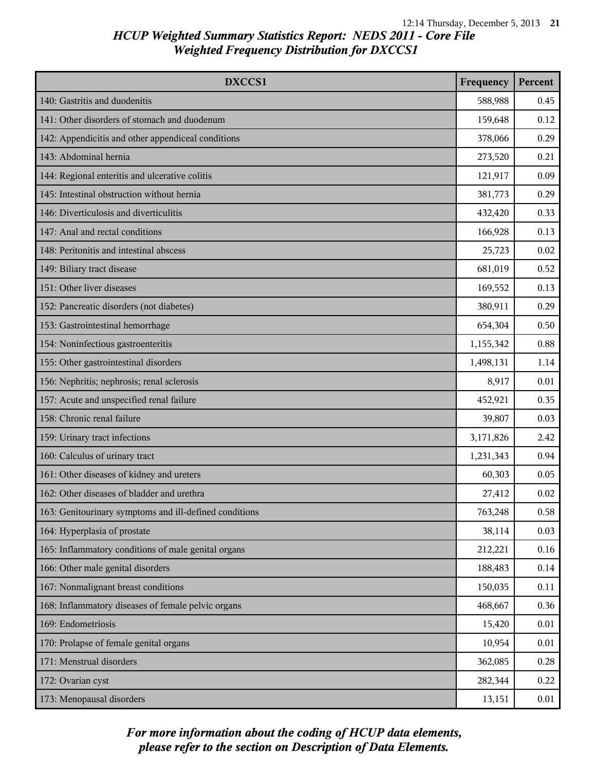| DXCCS1                                                 | Frequency | Percent |
|--------------------------------------------------------|-----------|---------|
| 140: Gastritis and duodenitis                          | 588,988   | 0.45    |
| 141: Other disorders of stomach and duodenum           | 159,648   | 0.12    |
| 142: Appendicitis and other appendiceal conditions     | 378,066   | 0.29    |
| 143: Abdominal hernia                                  | 273,520   | 0.21    |
| 144: Regional enteritis and ulcerative colitis         | 121,917   | 0.09    |
| 145: Intestinal obstruction without hernia             | 381,773   | 0.29    |
| 146: Diverticulosis and diverticulitis                 | 432,420   | 0.33    |
| 147: Anal and rectal conditions                        | 166,928   | 0.13    |
| 148: Peritonitis and intestinal abscess                | 25,723    | 0.02    |
| 149: Biliary tract disease                             | 681,019   | 0.52    |
| 151: Other liver diseases                              | 169,552   | 0.13    |
| 152: Pancreatic disorders (not diabetes)               | 380,911   | 0.29    |
| 153: Gastrointestinal hemorrhage                       | 654,304   | 0.50    |
| 154: Noninfectious gastroenteritis                     | 1,155,342 | 0.88    |
| 155: Other gastrointestinal disorders                  | 1,498,131 | 1.14    |
| 156: Nephritis; nephrosis; renal sclerosis             | 8,917     | 0.01    |
| 157: Acute and unspecified renal failure               | 452,921   | 0.35    |
| 158: Chronic renal failure                             | 39,807    | 0.03    |
| 159: Urinary tract infections                          | 3,171,826 | 2.42    |
| 160: Calculus of urinary tract                         | 1,231,343 | 0.94    |
| 161: Other diseases of kidney and ureters              | 60,303    | 0.05    |
| 162: Other diseases of bladder and urethra             | 27,412    | 0.02    |
| 163: Genitourinary symptoms and ill-defined conditions | 763,248   | 0.58    |
| 164: Hyperplasia of prostate                           | 38,114    | 0.03    |
| 165: Inflammatory conditions of male genital organs    | 212,221   | 0.16    |
| 166: Other male genital disorders                      | 188,483   | 0.14    |
| 167: Nonmalignant breast conditions                    | 150,035   | 0.11    |
| 168: Inflammatory diseases of female pelvic organs     | 468,667   | 0.36    |
| 169: Endometriosis                                     | 15,420    | 0.01    |
| 170: Prolapse of female genital organs                 | 10,954    | 0.01    |
| 171: Menstrual disorders                               | 362,085   | 0.28    |
| 172: Ovarian cyst                                      | 282,344   | 0.22    |
| 173: Menopausal disorders                              | 13,151    | 0.01    |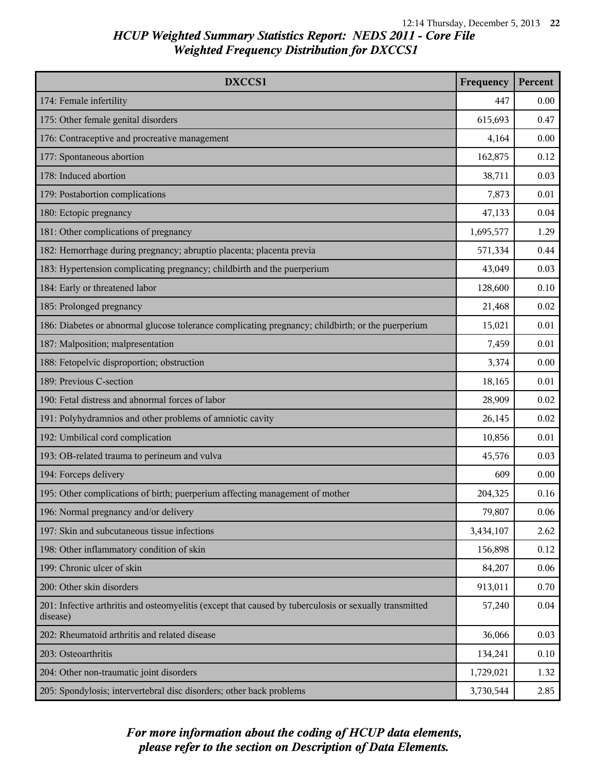| DXCCS1                                                                                                             | Frequency | Percent |
|--------------------------------------------------------------------------------------------------------------------|-----------|---------|
| 174: Female infertility                                                                                            | 447       | 0.00    |
| 175: Other female genital disorders                                                                                | 615,693   | 0.47    |
| 176: Contraceptive and procreative management                                                                      | 4,164     | 0.00    |
| 177: Spontaneous abortion                                                                                          | 162,875   | 0.12    |
| 178: Induced abortion                                                                                              | 38,711    | 0.03    |
| 179: Postabortion complications                                                                                    | 7,873     | 0.01    |
| 180: Ectopic pregnancy                                                                                             | 47,133    | 0.04    |
| 181: Other complications of pregnancy                                                                              | 1,695,577 | 1.29    |
| 182: Hemorrhage during pregnancy; abruptio placenta; placenta previa                                               | 571,334   | 0.44    |
| 183: Hypertension complicating pregnancy; childbirth and the puerperium                                            | 43,049    | 0.03    |
| 184: Early or threatened labor                                                                                     | 128,600   | 0.10    |
| 185: Prolonged pregnancy                                                                                           | 21,468    | 0.02    |
| 186: Diabetes or abnormal glucose tolerance complicating pregnancy; childbirth; or the puerperium                  | 15,021    | 0.01    |
| 187: Malposition; malpresentation                                                                                  | 7,459     | 0.01    |
| 188: Fetopelvic disproportion; obstruction                                                                         | 3,374     | 0.00    |
| 189: Previous C-section                                                                                            | 18,165    | 0.01    |
| 190: Fetal distress and abnormal forces of labor                                                                   | 28,909    | 0.02    |
| 191: Polyhydramnios and other problems of amniotic cavity                                                          | 26,145    | 0.02    |
| 192: Umbilical cord complication                                                                                   | 10,856    | 0.01    |
| 193: OB-related trauma to perineum and vulva                                                                       | 45,576    | 0.03    |
| 194: Forceps delivery                                                                                              | 609       | 0.00    |
| 195: Other complications of birth; puerperium affecting management of mother                                       | 204,325   | 0.16    |
| 196: Normal pregnancy and/or delivery                                                                              | 79,807    | 0.06    |
| 197: Skin and subcutaneous tissue infections                                                                       | 3,434,107 | 2.62    |
| 198: Other inflammatory condition of skin                                                                          | 156,898   | 0.12    |
| 199: Chronic ulcer of skin                                                                                         | 84,207    | 0.06    |
| 200: Other skin disorders                                                                                          | 913,011   | 0.70    |
| 201: Infective arthritis and osteomyelitis (except that caused by tuberculosis or sexually transmitted<br>disease) | 57,240    | 0.04    |
| 202: Rheumatoid arthritis and related disease                                                                      | 36,066    | 0.03    |
| 203: Osteoarthritis                                                                                                | 134,241   | 0.10    |
| 204: Other non-traumatic joint disorders                                                                           | 1,729,021 | 1.32    |
| 205: Spondylosis; intervertebral disc disorders; other back problems                                               | 3,730,544 | 2.85    |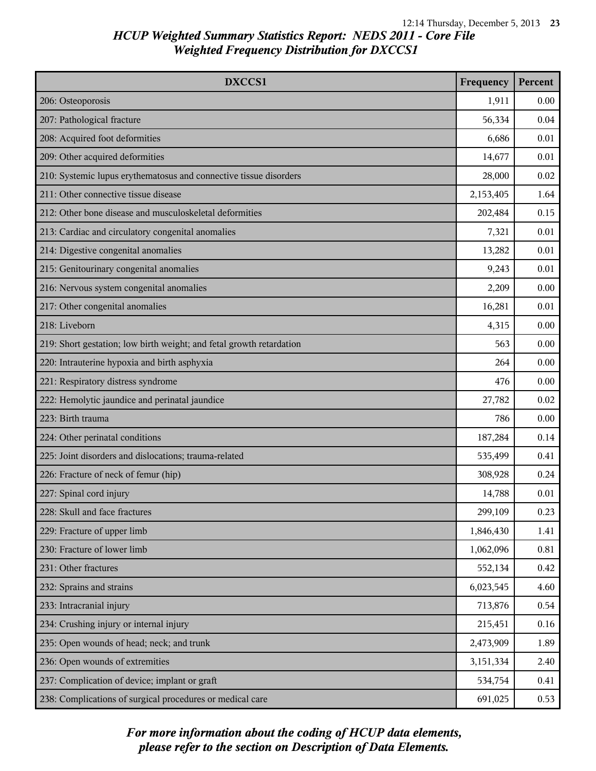| DXCCS1                                                               | Frequency | Percent |
|----------------------------------------------------------------------|-----------|---------|
| 206: Osteoporosis                                                    | 1,911     | 0.00    |
| 207: Pathological fracture                                           | 56,334    | 0.04    |
| 208: Acquired foot deformities                                       | 6,686     | 0.01    |
| 209: Other acquired deformities                                      | 14,677    | 0.01    |
| 210: Systemic lupus erythematosus and connective tissue disorders    | 28,000    | 0.02    |
| 211: Other connective tissue disease                                 | 2,153,405 | 1.64    |
| 212: Other bone disease and musculoskeletal deformities              | 202,484   | 0.15    |
| 213: Cardiac and circulatory congenital anomalies                    | 7,321     | 0.01    |
| 214: Digestive congenital anomalies                                  | 13,282    | 0.01    |
| 215: Genitourinary congenital anomalies                              | 9,243     | 0.01    |
| 216: Nervous system congenital anomalies                             | 2,209     | 0.00    |
| 217: Other congenital anomalies                                      | 16,281    | 0.01    |
| 218: Liveborn                                                        | 4,315     | 0.00    |
| 219: Short gestation; low birth weight; and fetal growth retardation | 563       | 0.00    |
| 220: Intrauterine hypoxia and birth asphyxia                         | 264       | 0.00    |
| 221: Respiratory distress syndrome                                   | 476       | 0.00    |
| 222: Hemolytic jaundice and perinatal jaundice                       | 27,782    | 0.02    |
| 223: Birth trauma                                                    | 786       | 0.00    |
| 224: Other perinatal conditions                                      | 187,284   | 0.14    |
| 225: Joint disorders and dislocations; trauma-related                | 535,499   | 0.41    |
| 226: Fracture of neck of femur (hip)                                 | 308,928   | 0.24    |
| 227: Spinal cord injury                                              | 14,788    | 0.01    |
| 228: Skull and face fractures                                        | 299,109   | 0.23    |
| 229: Fracture of upper limb                                          | 1,846,430 | 1.41    |
| 230: Fracture of lower limb                                          | 1,062,096 | 0.81    |
| 231: Other fractures                                                 | 552,134   | 0.42    |
| 232: Sprains and strains                                             | 6,023,545 | 4.60    |
| 233: Intracranial injury                                             | 713,876   | 0.54    |
| 234: Crushing injury or internal injury                              | 215,451   | 0.16    |
| 235: Open wounds of head; neck; and trunk                            | 2,473,909 | 1.89    |
| 236: Open wounds of extremities                                      | 3,151,334 | 2.40    |
| 237: Complication of device; implant or graft                        | 534,754   | 0.41    |
| 238: Complications of surgical procedures or medical care            | 691,025   | 0.53    |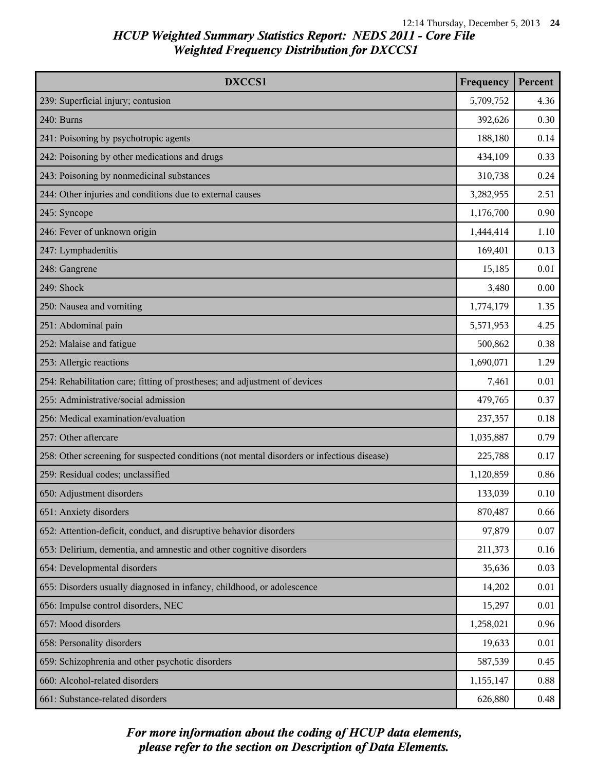| DXCCS1                                                                                     | Frequency | Percent |
|--------------------------------------------------------------------------------------------|-----------|---------|
| 239: Superficial injury; contusion                                                         | 5,709,752 | 4.36    |
| 240: Burns                                                                                 | 392,626   | 0.30    |
| 241: Poisoning by psychotropic agents                                                      | 188,180   | 0.14    |
| 242: Poisoning by other medications and drugs                                              | 434,109   | 0.33    |
| 243: Poisoning by nonmedicinal substances                                                  | 310,738   | 0.24    |
| 244: Other injuries and conditions due to external causes                                  | 3,282,955 | 2.51    |
| 245: Syncope                                                                               | 1,176,700 | 0.90    |
| 246: Fever of unknown origin                                                               | 1,444,414 | 1.10    |
| 247: Lymphadenitis                                                                         | 169,401   | 0.13    |
| 248: Gangrene                                                                              | 15,185    | 0.01    |
| 249: Shock                                                                                 | 3,480     | 0.00    |
| 250: Nausea and vomiting                                                                   | 1,774,179 | 1.35    |
| 251: Abdominal pain                                                                        | 5,571,953 | 4.25    |
| 252: Malaise and fatigue                                                                   | 500,862   | 0.38    |
| 253: Allergic reactions                                                                    | 1,690,071 | 1.29    |
| 254: Rehabilitation care; fitting of prostheses; and adjustment of devices                 | 7,461     | 0.01    |
| 255: Administrative/social admission                                                       | 479,765   | 0.37    |
| 256: Medical examination/evaluation                                                        | 237,357   | 0.18    |
| 257: Other aftercare                                                                       | 1,035,887 | 0.79    |
| 258: Other screening for suspected conditions (not mental disorders or infectious disease) | 225,788   | 0.17    |
| 259: Residual codes; unclassified                                                          | 1,120,859 | 0.86    |
| 650: Adjustment disorders                                                                  | 133,039   | 0.10    |
| 651: Anxiety disorders                                                                     | 870,487   | 0.66    |
| 652: Attention-deficit, conduct, and disruptive behavior disorders                         | 97,879    | 0.07    |
| 653: Delirium, dementia, and amnestic and other cognitive disorders                        | 211,373   | 0.16    |
| 654: Developmental disorders                                                               | 35,636    | 0.03    |
| 655: Disorders usually diagnosed in infancy, childhood, or adolescence                     | 14,202    | 0.01    |
| 656: Impulse control disorders, NEC                                                        | 15,297    | 0.01    |
| 657: Mood disorders                                                                        | 1,258,021 | 0.96    |
| 658: Personality disorders                                                                 | 19,633    | 0.01    |
| 659: Schizophrenia and other psychotic disorders                                           | 587,539   | 0.45    |
| 660: Alcohol-related disorders                                                             | 1,155,147 | 0.88    |
| 661: Substance-related disorders                                                           | 626,880   | 0.48    |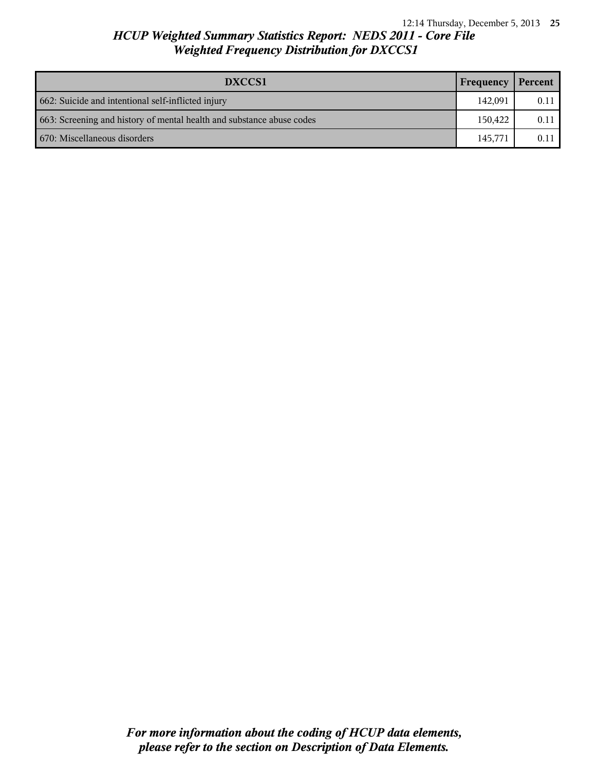| DXCCS1                                                                | Frequency | Percent |
|-----------------------------------------------------------------------|-----------|---------|
| 662: Suicide and intentional self-inflicted injury                    | 142.091   | 0.11    |
| 663: Screening and history of mental health and substance abuse codes | 150,422   | 0.11    |
| 670: Miscellaneous disorders                                          | 145,771   | 0.11    |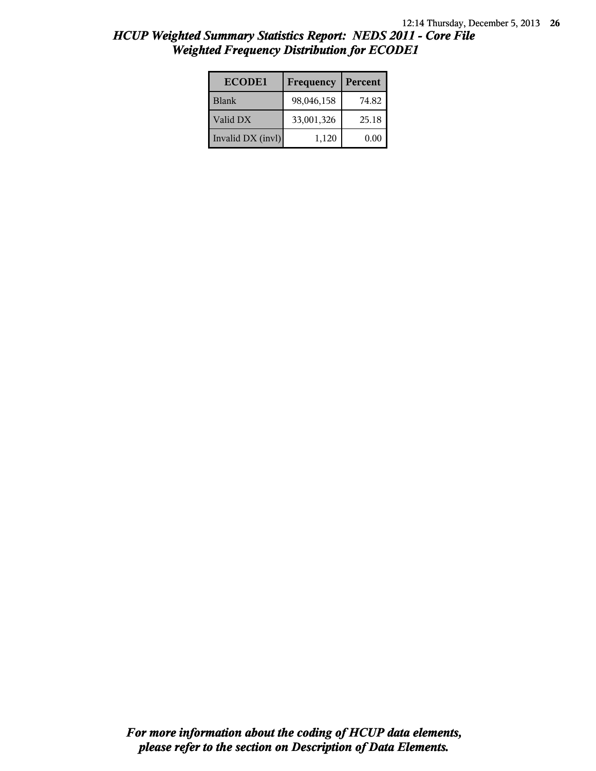| <b>ECODE1</b>     | Frequency  | Percent |
|-------------------|------------|---------|
| <b>Blank</b>      | 98,046,158 | 74.82   |
| Valid DX          | 33,001,326 | 25.18   |
| Invalid DX (invl) | 1,120      | 0.00    |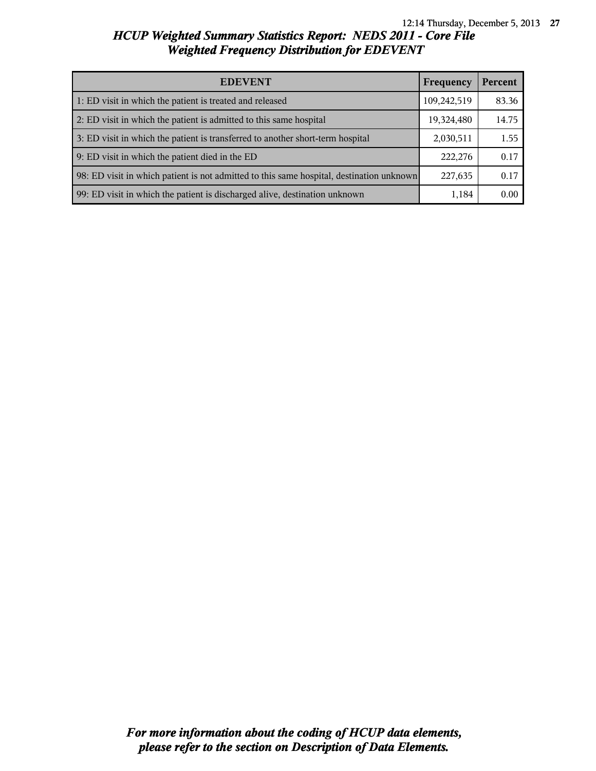| <b>EDEVENT</b>                                                                           | Frequency   | Percent |
|------------------------------------------------------------------------------------------|-------------|---------|
| 1: ED visit in which the patient is treated and released                                 | 109,242,519 | 83.36   |
| 2: ED visit in which the patient is admitted to this same hospital                       | 19,324,480  | 14.75   |
| 3: ED visit in which the patient is transferred to another short-term hospital           | 2,030,511   | 1.55    |
| 9: ED visit in which the patient died in the ED                                          | 222,276     | 0.17    |
| 98: ED visit in which patient is not admitted to this same hospital, destination unknown | 227,635     | 0.17    |
| 99: ED visit in which the patient is discharged alive, destination unknown               | 1,184       | 0.00    |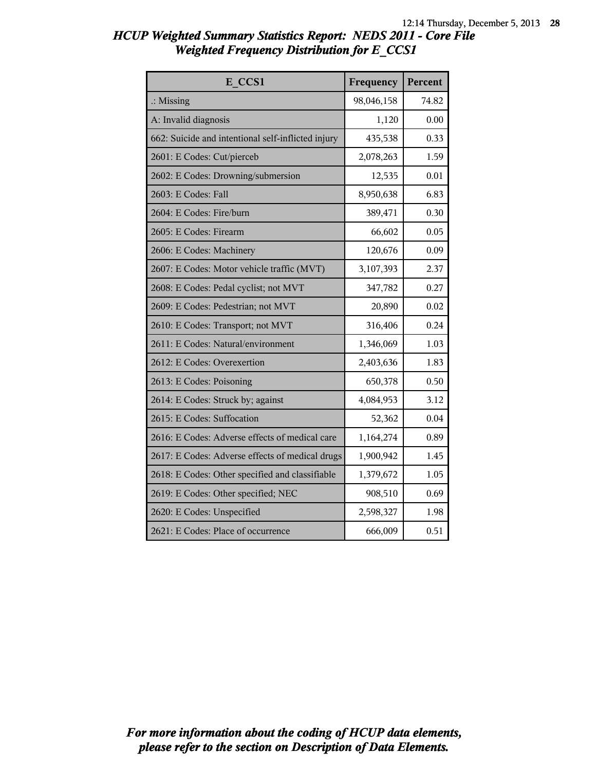| E CCS1                                             | Frequency  | Percent |
|----------------------------------------------------|------------|---------|
| $\therefore$ Missing                               | 98,046,158 | 74.82   |
| A: Invalid diagnosis                               | 1,120      | 0.00    |
| 662: Suicide and intentional self-inflicted injury | 435,538    | 0.33    |
| 2601: E Codes: Cut/pierceb                         | 2,078,263  | 1.59    |
| 2602: E Codes: Drowning/submersion                 | 12,535     | 0.01    |
| 2603: E Codes: Fall                                | 8,950,638  | 6.83    |
| 2604: E Codes: Fire/burn                           | 389,471    | 0.30    |
| 2605: E Codes: Firearm                             | 66,602     | 0.05    |
| 2606: E Codes: Machinery                           | 120,676    | 0.09    |
| 2607: E Codes: Motor vehicle traffic (MVT)         | 3,107,393  | 2.37    |
| 2608: E Codes: Pedal cyclist; not MVT              | 347,782    | 0.27    |
| 2609: E Codes: Pedestrian; not MVT                 | 20,890     | 0.02    |
| 2610: E Codes: Transport; not MVT                  | 316,406    | 0.24    |
| 2611: E Codes: Natural/environment                 | 1,346,069  | 1.03    |
| 2612: E Codes: Overexertion                        | 2,403,636  | 1.83    |
| 2613: E Codes: Poisoning                           | 650,378    | 0.50    |
| 2614: E Codes: Struck by; against                  | 4,084,953  | 3.12    |
| 2615: E Codes: Suffocation                         | 52,362     | 0.04    |
| 2616: E Codes: Adverse effects of medical care     | 1,164,274  | 0.89    |
| 2617: E Codes: Adverse effects of medical drugs    | 1,900,942  | 1.45    |
| 2618: E Codes: Other specified and classifiable    | 1,379,672  | 1.05    |
| 2619: E Codes: Other specified; NEC                | 908,510    | 0.69    |
| 2620: E Codes: Unspecified                         | 2,598,327  | 1.98    |
| 2621: E Codes: Place of occurrence                 | 666,009    | 0.51    |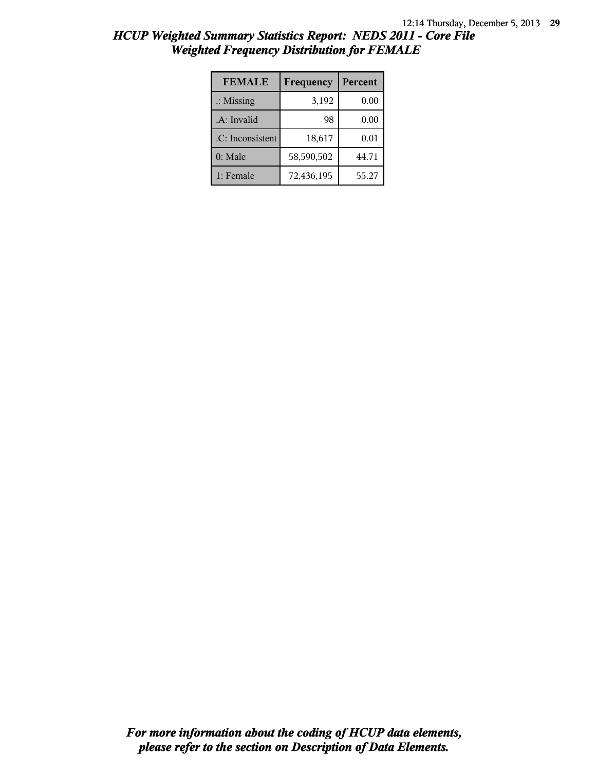| <b>FEMALE</b>        | Frequency  | Percent |
|----------------------|------------|---------|
| $\therefore$ Missing | 3,192      | 0.00    |
| .A: Invalid          | 98         | 0.00    |
| .C: Inconsistent     | 18,617     | 0.01    |
| 0: Male              | 58,590,502 | 44.71   |
| 1: Female            | 72,436,195 | 55.27   |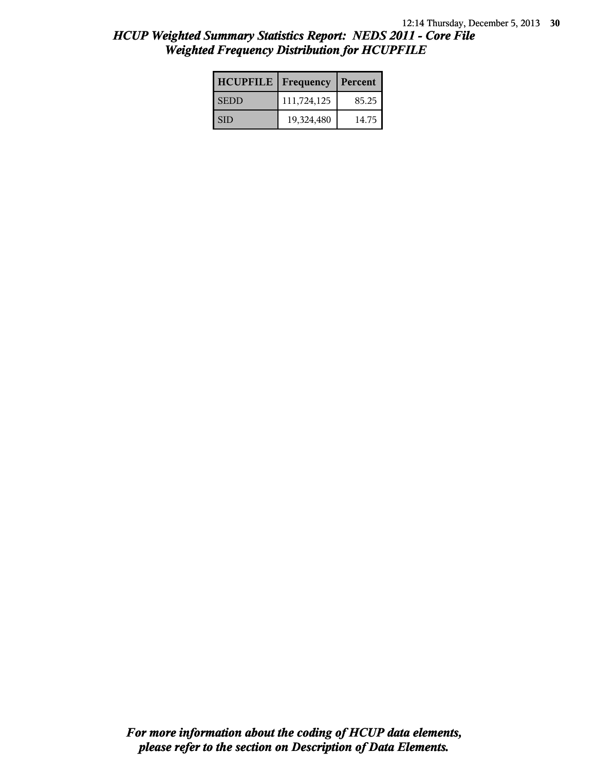| <b>HCUPFILE</b>   Frequency |             | Percent |
|-----------------------------|-------------|---------|
| <b>SEDD</b>                 | 111,724,125 | 85.25   |
| SID                         | 19,324,480  | 14.75   |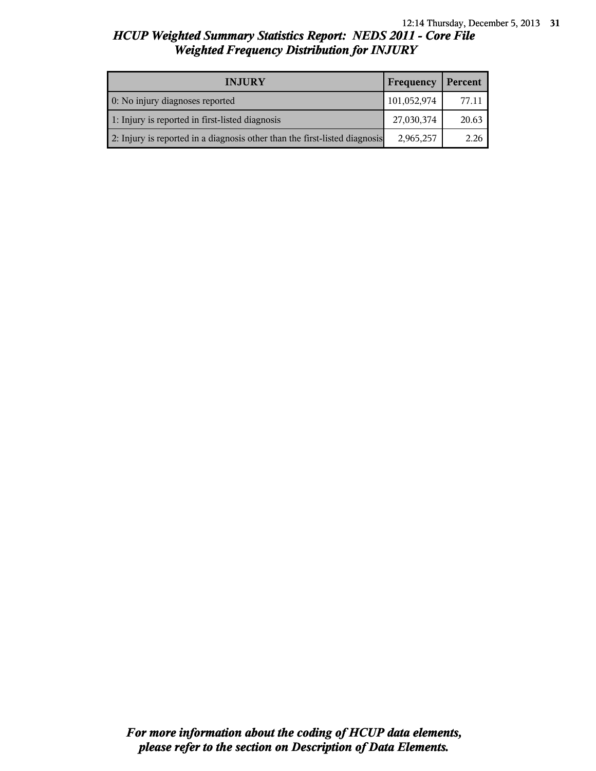| <b>INJURY</b>                                                              | Frequency   | Percent |
|----------------------------------------------------------------------------|-------------|---------|
| 0: No injury diagnoses reported                                            | 101,052,974 | 77.11   |
| 1: Injury is reported in first-listed diagnosis                            | 27,030,374  | 20.63   |
| 2: Injury is reported in a diagnosis other than the first-listed diagnosis | 2,965,257   | 2.26    |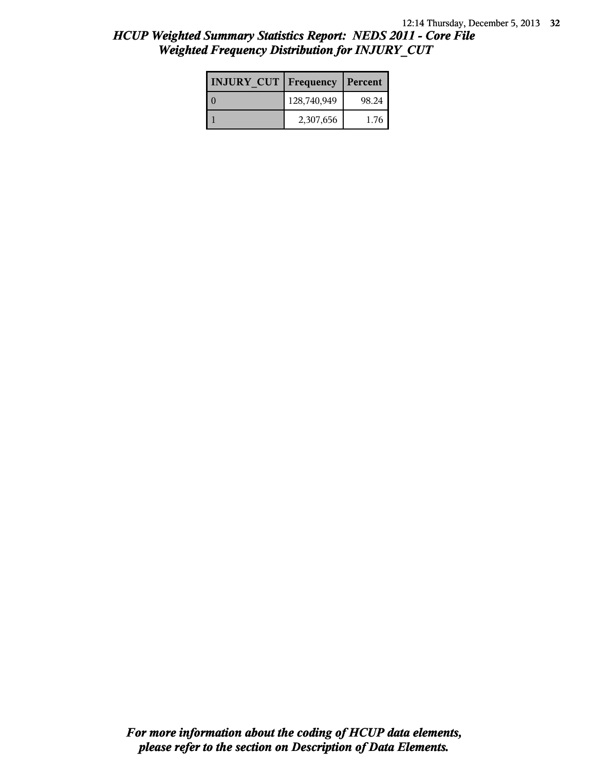| <b>INJURY CUT   Frequency</b> |             | Percent |
|-------------------------------|-------------|---------|
|                               | 128,740,949 | 98.24   |
|                               | 2,307,656   | 1 76    |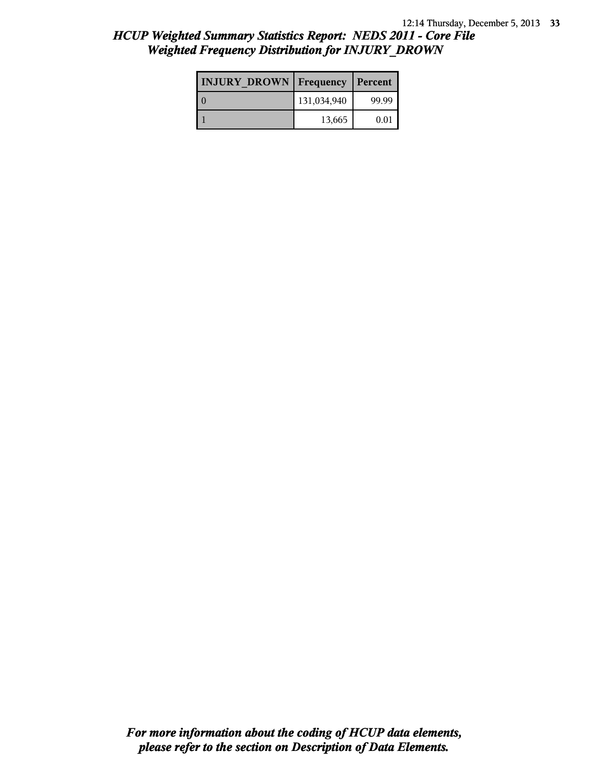| <b>INJURY DROWN</b> Frequency |             | Percent |
|-------------------------------|-------------|---------|
|                               | 131,034,940 | 99.99   |
|                               | 13,665      | 0.01    |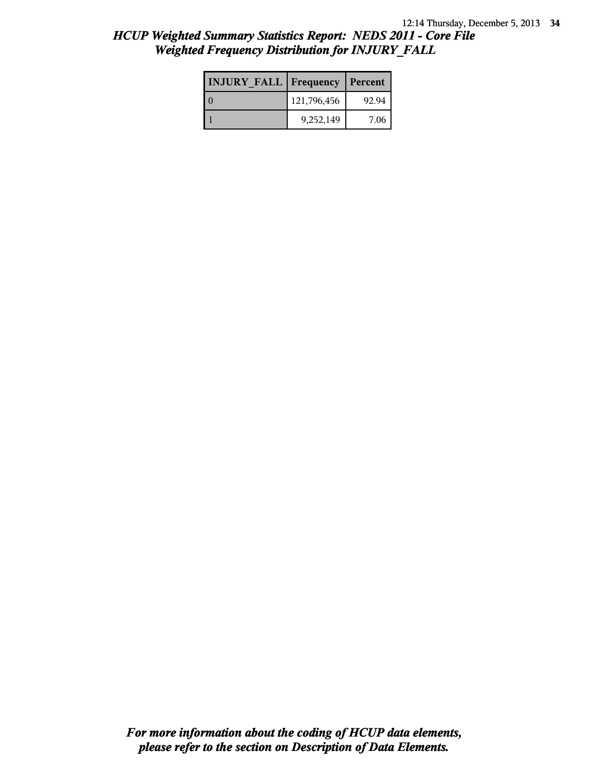| <b>INJURY FALL Frequency Percent</b> |             |       |
|--------------------------------------|-------------|-------|
|                                      | 121,796,456 | 92.94 |
|                                      | 9,252,149   | 7.06  |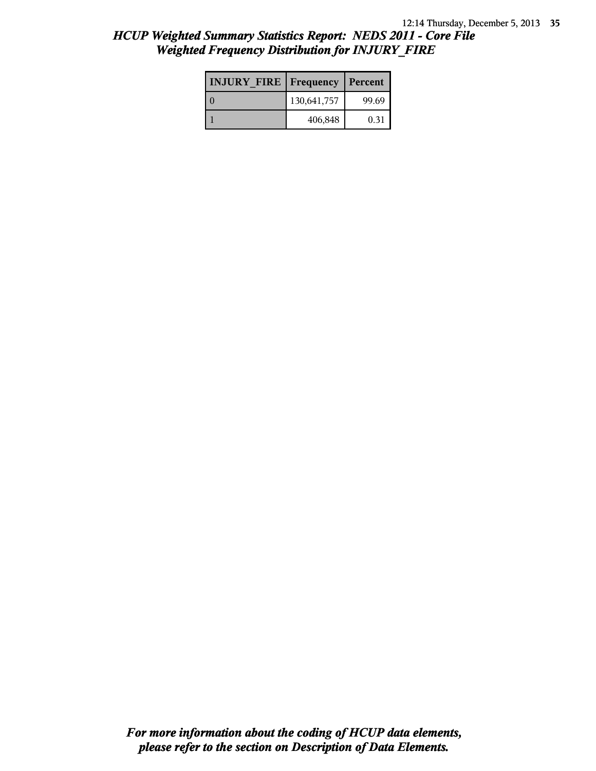| <b>INJURY FIRE   Frequency</b> |             | Percent |
|--------------------------------|-------------|---------|
|                                | 130,641,757 | 99.69   |
|                                | 406,848     | 0.31    |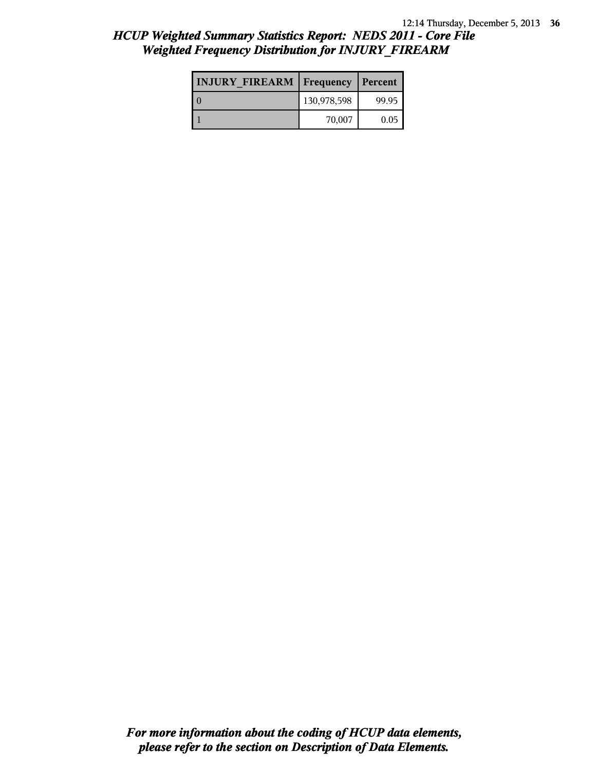| <b>INJURY FIREARM   Frequency</b> |             | Percent |
|-----------------------------------|-------------|---------|
|                                   | 130,978,598 | 99.95   |
|                                   | 70,007      | 0.05    |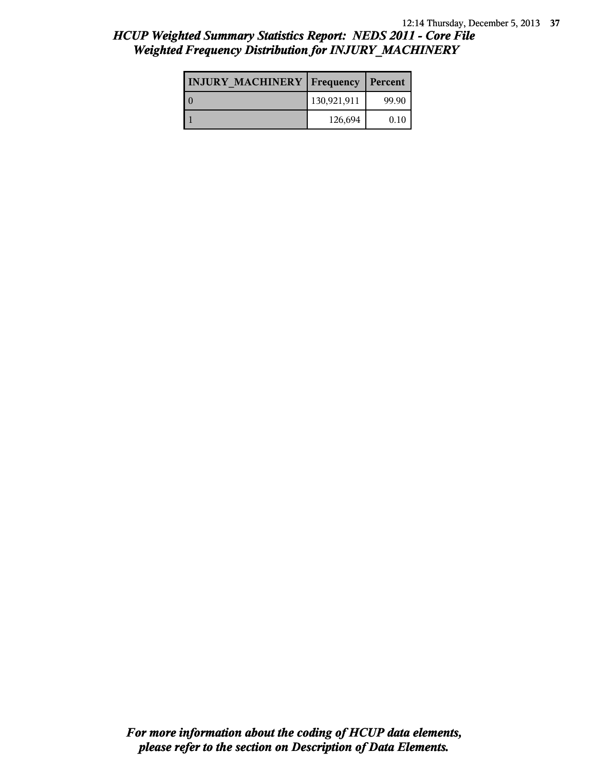#### 12:14 Thursday, December 5, 2013 **37**

## *HCUP Weighted Summary Statistics Report: NEDS 2011 - Core File Weighted Frequency Distribution for INJURY\_MACHINERY*

| <b>INJURY MACHINERY   Frequency   Percent</b> |             |       |
|-----------------------------------------------|-------------|-------|
|                                               | 130,921,911 | 99.90 |
|                                               | 126,694     | 0.10  |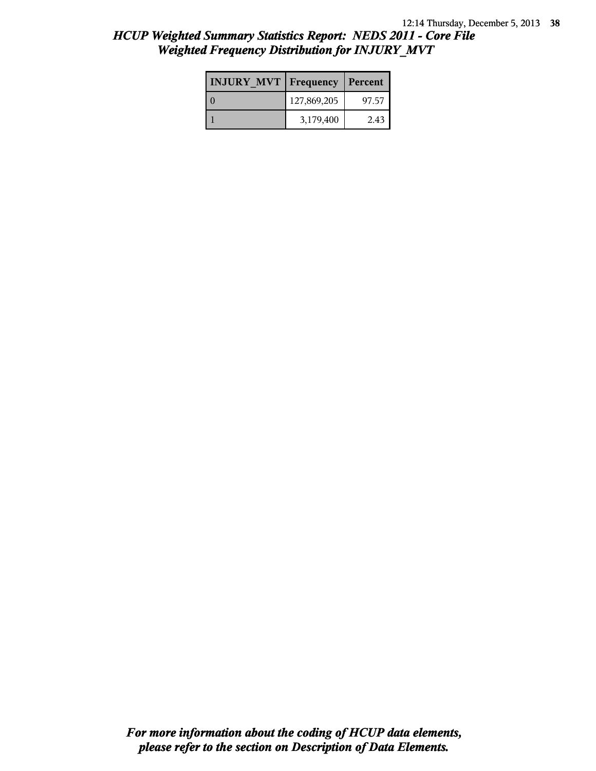| <b>INJURY MVT   Frequency</b> |             | Percent |
|-------------------------------|-------------|---------|
|                               | 127,869,205 | 97.57   |
|                               | 3,179,400   | 2.43    |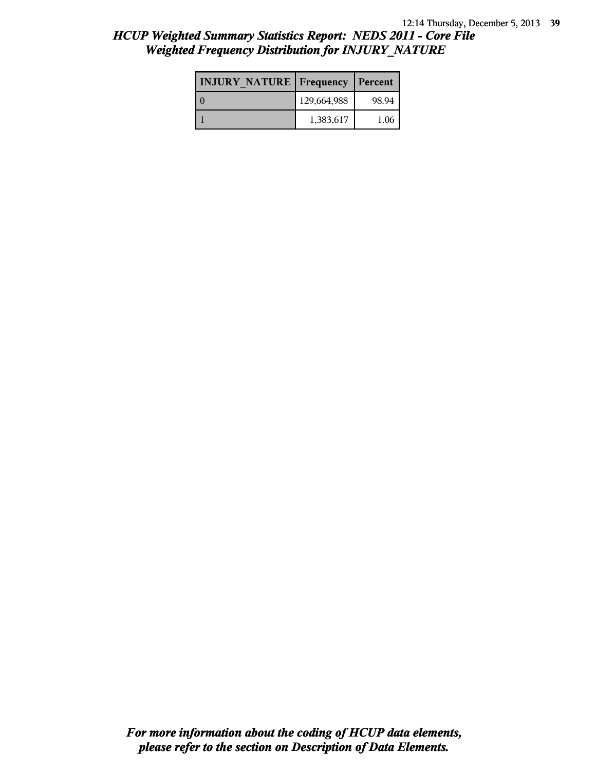| <b>INJURY NATURE Frequency</b> |             | Percent |
|--------------------------------|-------------|---------|
|                                | 129,664,988 | 98.94   |
|                                | 1,383,617   | 1.06    |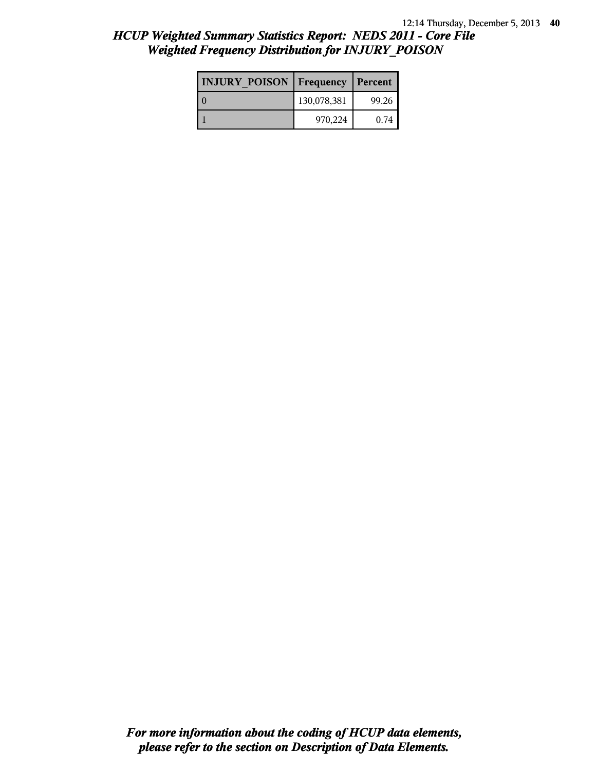| <b>INJURY POISON Frequency</b> |             | Percent |
|--------------------------------|-------------|---------|
|                                | 130,078,381 | 99.26   |
|                                | 970,224     | 0.74    |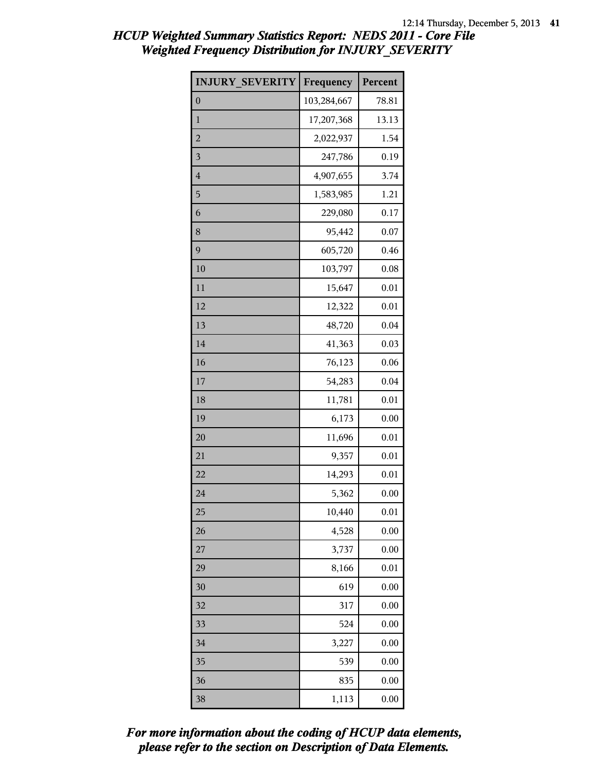| <b>INJURY SEVERITY</b>  | Frequency   | Percent |
|-------------------------|-------------|---------|
| $\boldsymbol{0}$        | 103,284,667 | 78.81   |
| $\mathbf{1}$            | 17,207,368  | 13.13   |
| $\overline{c}$          | 2,022,937   | 1.54    |
| $\overline{\mathbf{3}}$ | 247,786     | 0.19    |
| $\overline{4}$          | 4,907,655   | 3.74    |
| 5                       | 1,583,985   | 1.21    |
| 6                       | 229,080     | 0.17    |
| 8                       | 95,442      | 0.07    |
| 9                       | 605,720     | 0.46    |
| 10                      | 103,797     | 0.08    |
| 11                      | 15,647      | 0.01    |
| 12                      | 12,322      | 0.01    |
| 13                      | 48,720      | 0.04    |
| 14                      | 41,363      | 0.03    |
| 16                      | 76,123      | 0.06    |
| 17                      | 54,283      | 0.04    |
| 18                      | 11,781      | 0.01    |
| 19                      | 6,173       | 0.00    |
| 20                      | 11,696      | 0.01    |
| 21                      | 9,357       | 0.01    |
| 22                      | 14,293      | 0.01    |
| 24                      | 5,362       | 0.00    |
| 25                      | 10,440      | 0.01    |
| 26                      | 4,528       | 0.00    |
| 27                      | 3,737       | 0.00    |
| 29                      | 8,166       | 0.01    |
| 30                      | 619         | 0.00    |
| 32                      | 317         | 0.00    |
| 33                      | 524         | 0.00    |
| 34                      | 3,227       | 0.00    |
| 35                      | 539         | 0.00    |
| 36                      | 835         | 0.00    |
| 38                      | 1,113       | 0.00    |

*please refer to the section on Description of Data Elements. For more information about the coding of HCUP data elements,*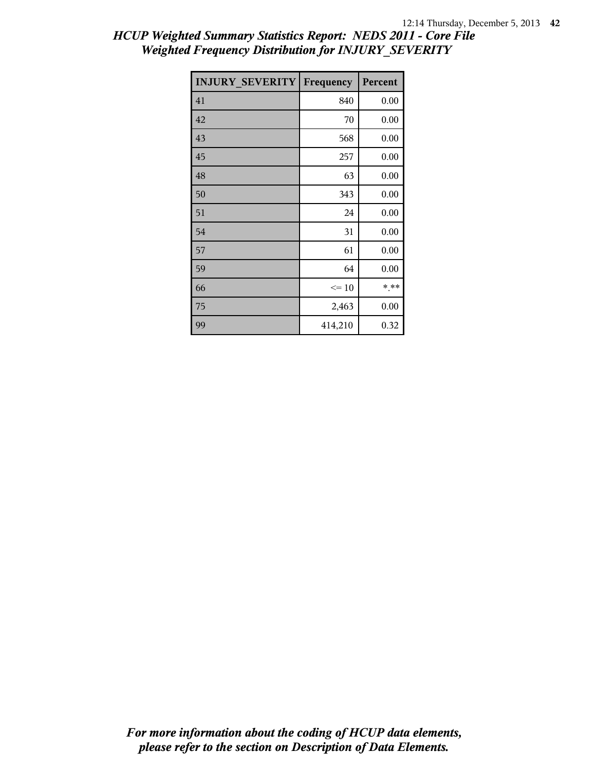| <b>INJURY SEVERITY</b> | Frequency | Percent |
|------------------------|-----------|---------|
| 41                     | 840       | 0.00    |
| 42                     | 70        | 0.00    |
| 43                     | 568       | 0.00    |
| 45                     | 257       | 0.00    |
| 48                     | 63        | 0.00    |
| 50                     | 343       | 0.00    |
| 51                     | 24        | 0.00    |
| 54                     | 31        | 0.00    |
| 57                     | 61        | 0.00    |
| 59                     | 64        | 0.00    |
| 66                     | $\leq 10$ | * **    |
| 75                     | 2,463     | 0.00    |
| 99                     | 414,210   | 0.32    |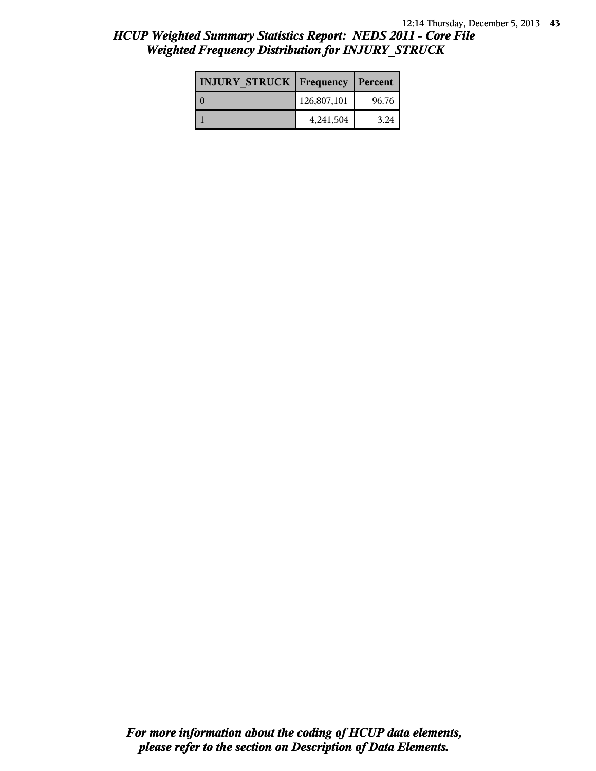| <b>INJURY STRUCK Frequency</b> |             | Percent |
|--------------------------------|-------------|---------|
|                                | 126,807,101 | 96.76   |
|                                | 4,241,504   | 3.24    |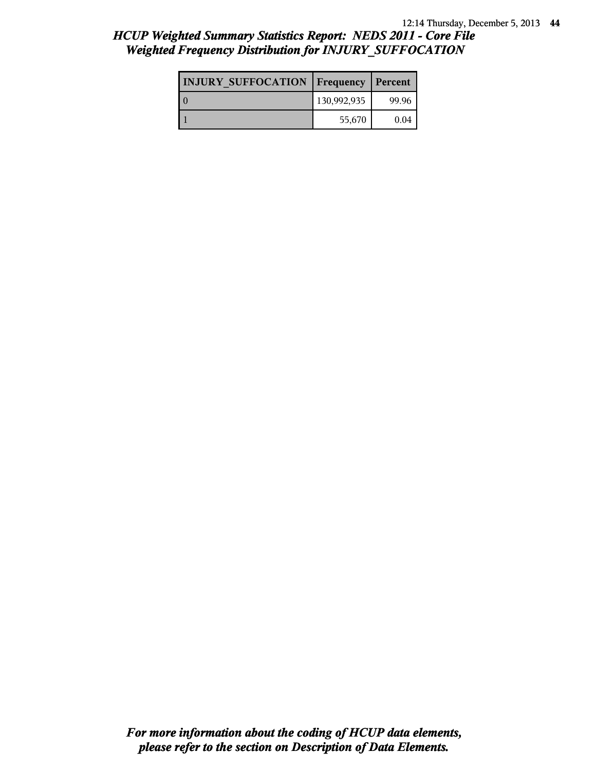# 12:14 Thursday, December 5, 2013 **44**

# *HCUP Weighted Summary Statistics Report: NEDS 2011 - Core File Weighted Frequency Distribution for INJURY\_SUFFOCATION*

| <b>INJURY SUFFOCATION   Frequency</b> |             | Percent |
|---------------------------------------|-------------|---------|
|                                       | 130,992,935 | 99.96   |
|                                       | 55,670      | 0.04    |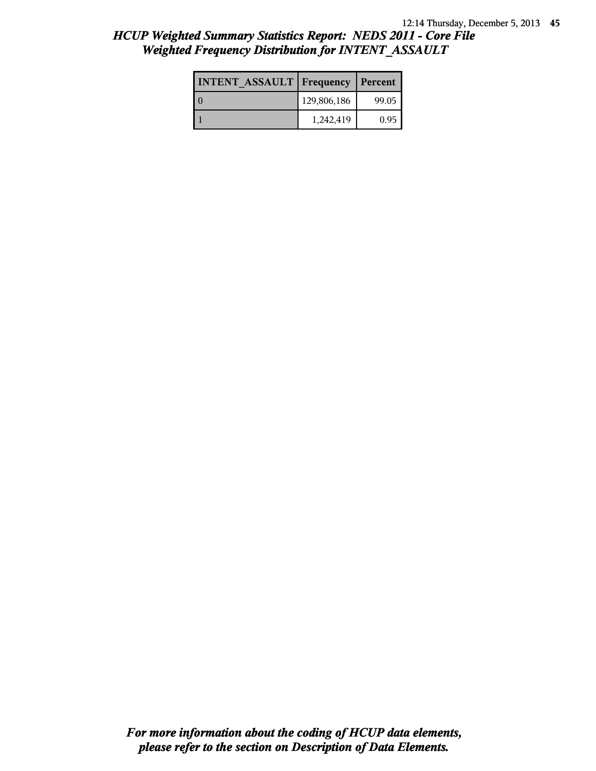| <b>INTENT ASSAULT Frequency</b> |             | Percent |
|---------------------------------|-------------|---------|
| l 0                             | 129,806,186 | 99.05   |
|                                 | 1,242,419   | 0.95    |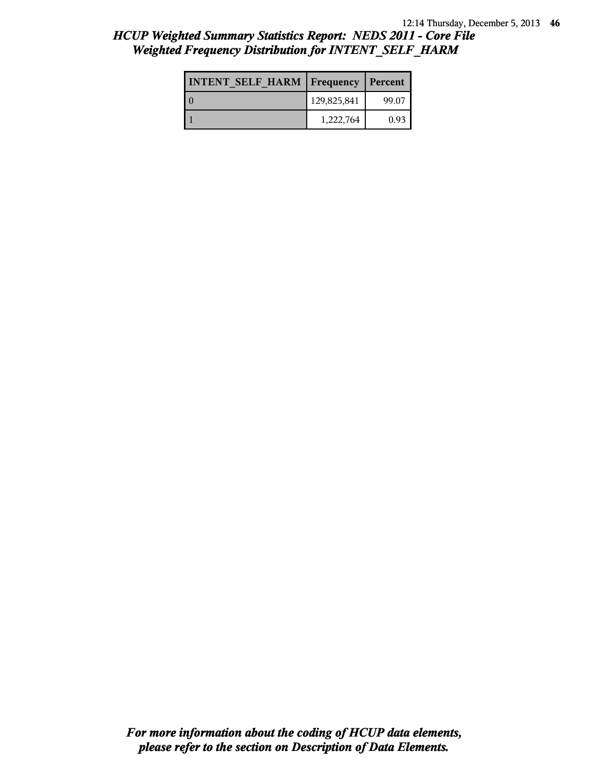| <b>INTENT SELF HARM   Frequency   Percent</b> |             |       |
|-----------------------------------------------|-------------|-------|
|                                               | 129,825,841 | 99.07 |
|                                               | 1,222,764   | 0.93  |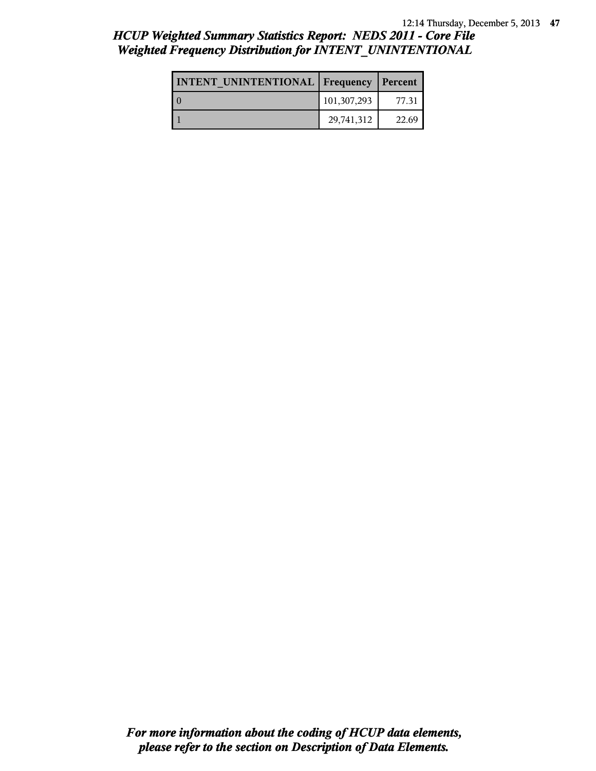#### 12:14 Thursday, December 5, 2013 **47**

# *HCUP Weighted Summary Statistics Report: NEDS 2011 - Core File Weighted Frequency Distribution for INTENT\_UNINTENTIONAL*

| <b>INTENT UNINTENTIONAL Frequency</b> |             | Percent |
|---------------------------------------|-------------|---------|
|                                       | 101,307,293 | 77.31   |
|                                       | 29,741,312  | 22.69   |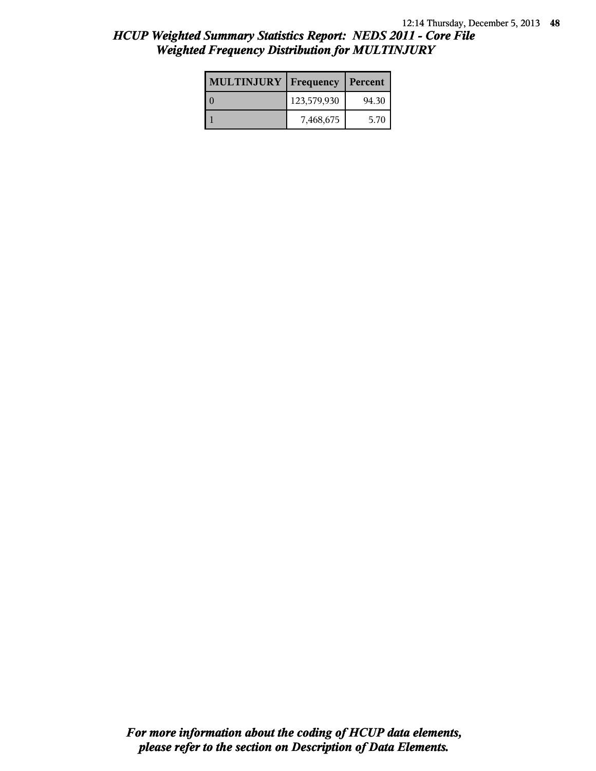| <b>MULTINJURY</b> | <b>Frequency   Percent</b> |       |
|-------------------|----------------------------|-------|
|                   | 123,579,930                | 94.30 |
|                   | 7,468,675                  | 5.70  |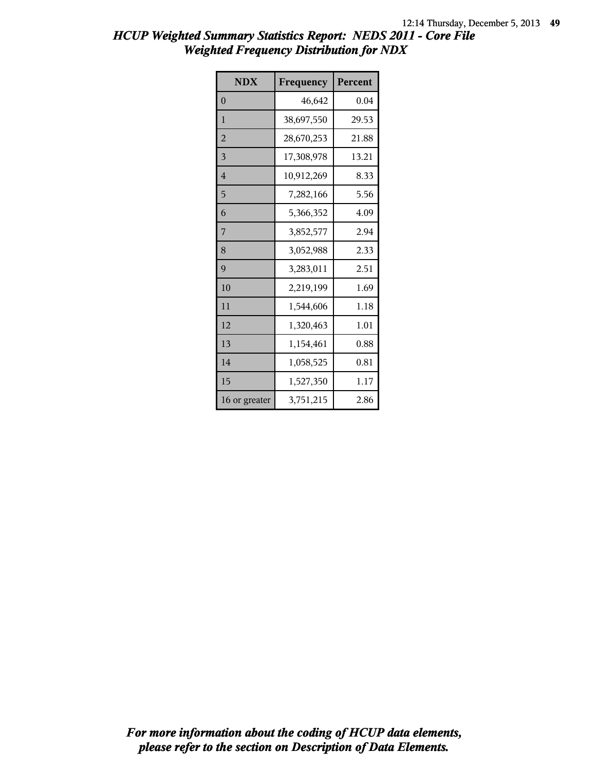| <b>NDX</b>     | Frequency  | Percent |
|----------------|------------|---------|
| $\overline{0}$ | 46,642     | 0.04    |
| $\mathbf{1}$   | 38,697,550 | 29.53   |
| $\overline{2}$ | 28,670,253 | 21.88   |
| 3              | 17,308,978 | 13.21   |
| $\overline{4}$ | 10,912,269 | 8.33    |
| 5              | 7,282,166  | 5.56    |
| 6              | 5,366,352  | 4.09    |
| 7              | 3,852,577  | 2.94    |
| 8              | 3,052,988  | 2.33    |
| 9              | 3,283,011  | 2.51    |
| 10             | 2,219,199  | 1.69    |
| 11             | 1,544,606  | 1.18    |
| 12             | 1,320,463  | 1.01    |
| 13             | 1,154,461  | 0.88    |
| 14             | 1,058,525  | 0.81    |
| 15             | 1,527,350  | 1.17    |
| 16 or greater  | 3,751,215  | 2.86    |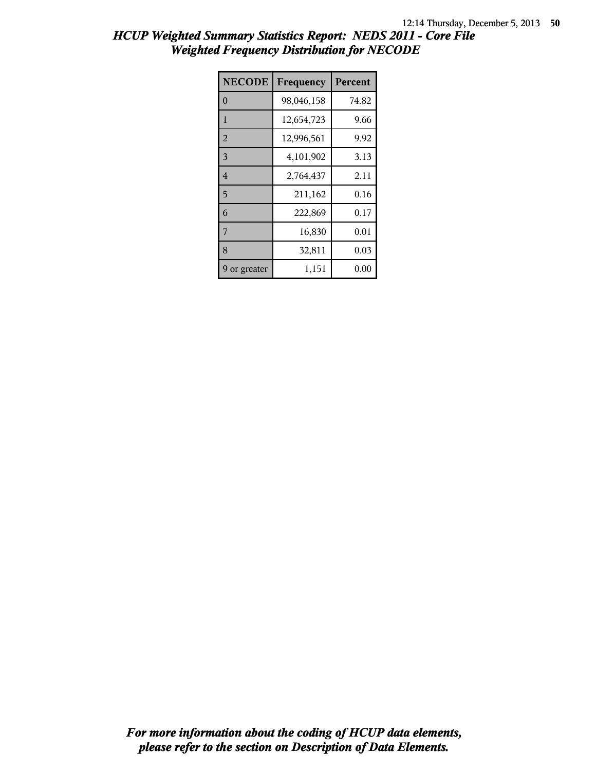| <b>NECODE</b>  | Frequency  | Percent |
|----------------|------------|---------|
| $\Omega$       | 98,046,158 | 74.82   |
| 1              | 12,654,723 | 9.66    |
| $\overline{2}$ | 12,996,561 | 9.92    |
| 3              | 4,101,902  | 3.13    |
| $\overline{4}$ | 2,764,437  | 2.11    |
| 5              | 211,162    | 0.16    |
| 6              | 222,869    | 0.17    |
| 7              | 16,830     | 0.01    |
| 8              | 32,811     | 0.03    |
| 9 or greater   | 1,151      | 0.00    |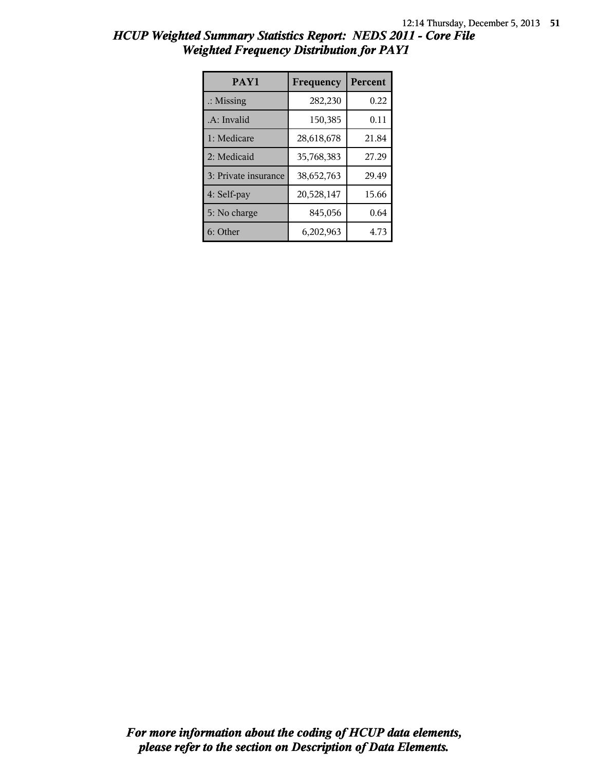| PAY1                 | Frequency  | <b>Percent</b> |
|----------------------|------------|----------------|
| $\therefore$ Missing | 282,230    | 0.22           |
| .A: Invalid          | 150,385    | 0.11           |
| 1: Medicare          | 28,618,678 | 21.84          |
| 2: Medicaid          | 35,768,383 | 27.29          |
| 3: Private insurance | 38,652,763 | 29.49          |
| 4: Self-pay          | 20,528,147 | 15.66          |
| 5: No charge         | 845,056    | 0.64           |
| 6: Other             | 6,202,963  | 4.73           |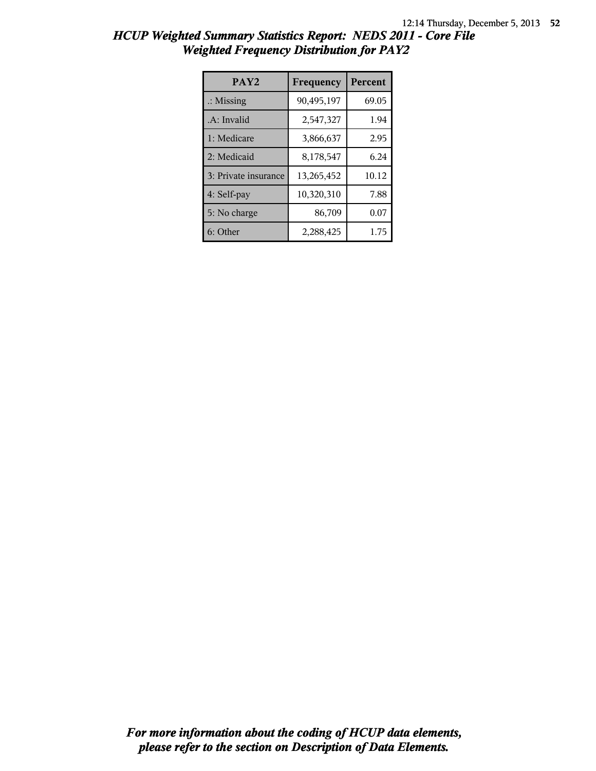| PAY <sub>2</sub>     | Frequency  | <b>Percent</b> |
|----------------------|------------|----------------|
| $\therefore$ Missing | 90,495,197 | 69.05          |
| .A: Invalid          | 2,547,327  | 1.94           |
| 1: Medicare          | 3,866,637  | 2.95           |
| 2: Medicaid          | 8,178,547  | 6.24           |
| 3: Private insurance | 13,265,452 | 10.12          |
| 4: Self-pay          | 10,320,310 | 7.88           |
| 5: No charge         | 86,709     | 0.07           |
| 6: Other             | 2,288,425  | 1.75           |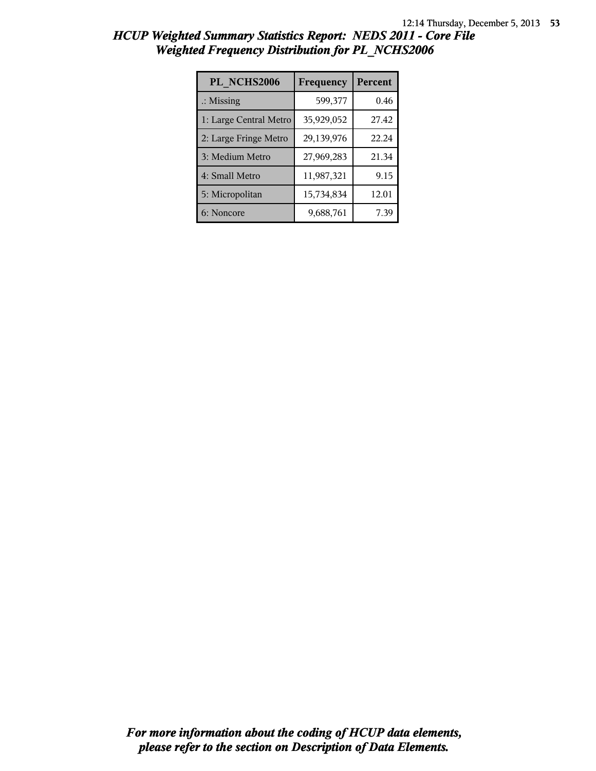| PL NCHS2006            | Frequency  | Percent |
|------------------------|------------|---------|
| $\therefore$ Missing   | 599,377    | 0.46    |
| 1: Large Central Metro | 35,929,052 | 27.42   |
| 2: Large Fringe Metro  | 29,139,976 | 22.24   |
| 3: Medium Metro        | 27,969,283 | 21.34   |
| 4: Small Metro         | 11,987,321 | 9.15    |
| 5: Micropolitan        | 15,734,834 | 12.01   |
| 6: Noncore             | 9,688,761  | 7.39    |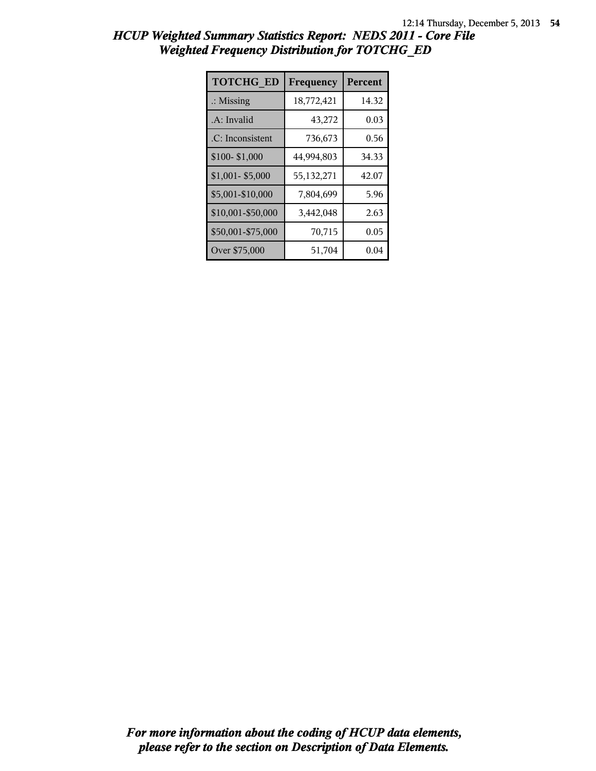| <b>TOTCHG ED</b>     | Frequency  | Percent |
|----------------------|------------|---------|
| $\therefore$ Missing | 18,772,421 | 14.32   |
| .A: Invalid          | 43,272     | 0.03    |
| .C: Inconsistent     | 736,673    | 0.56    |
| \$100-\$1,000        | 44,994,803 | 34.33   |
| \$1,001-\$5,000      | 55,132,271 | 42.07   |
| \$5,001-\$10,000     | 7,804,699  | 5.96    |
| \$10,001-\$50,000    | 3,442,048  | 2.63    |
| \$50,001-\$75,000    | 70,715     | 0.05    |
| Over \$75,000        | 51,704     | 0.04    |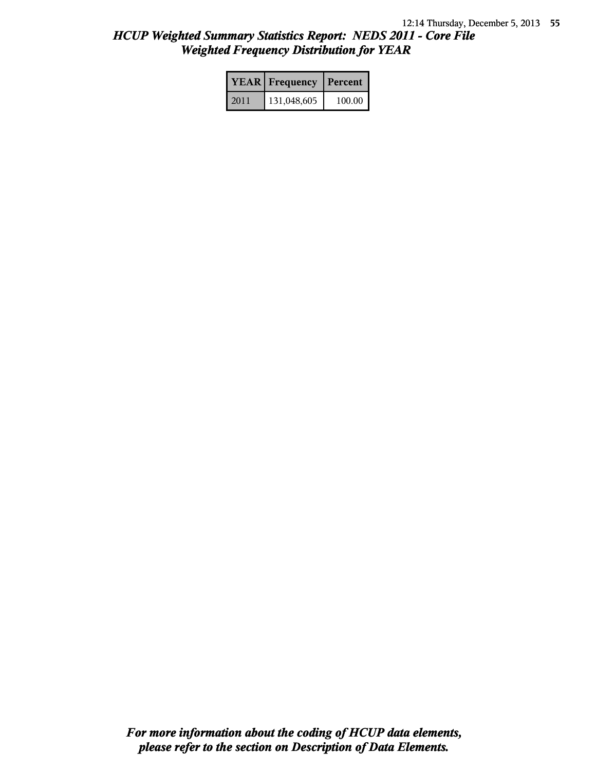|      | <b>YEAR</b> Frequency | Percent |
|------|-----------------------|---------|
| 2011 | 131,048,605           | 100.00  |